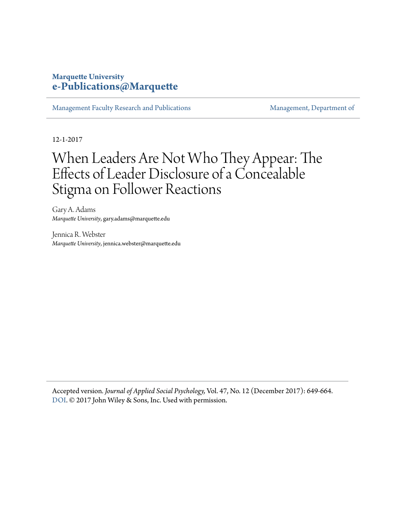### **Marquette University [e-Publications@Marquette](https://epublications.marquette.edu)**

[Management Faculty Research and Publications](https://epublications.marquette.edu/mgmt_fac) [Management, Department of](https://epublications.marquette.edu/mgmt)

12-1-2017

## When Leaders Are Not Who They Appear: The Effects of Leader Disclosure of a Concealable Stigma on Follower Reactions

Gary A. Adams *Marquette University*, gary.adams@marquette.edu

Jennica R. Webster *Marquette University*, jennica.webster@marquette.edu

Accepted version*. Journal of Applied Social Psychology,* Vol. 47, No. 12 (December 2017): 649-664. [DOI](http://dx.doi.org/10.1111/jasp.12467). © 2017 John Wiley & Sons, Inc. Used with permission.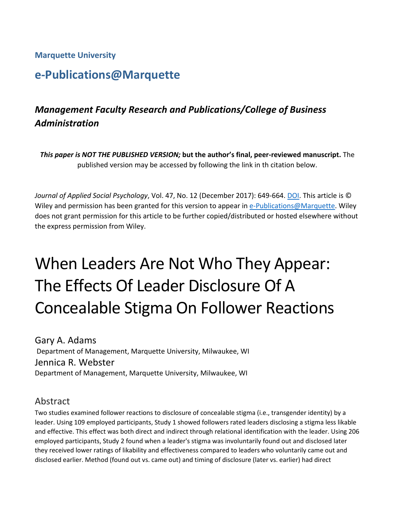**Marquette University**

## **e-Publications@Marquette**

## *Management Faculty Research and Publications/College of Business Administration*

*This paper is NOT THE PUBLISHED VERSION;* **but the author's final, peer-reviewed manuscript.** The published version may be accessed by following the link in th citation below.

*Journal of Applied Social Psychology*, Vol. 47, No. 12 (December 2017): 649-664. [DOI.](https://doi.org/10.1111/jasp.12467) This article is © Wiley and permission has been granted for this version to appear in [e-Publications@Marquette.](http://epublications.marquette.edu/) Wiley does not grant permission for this article to be further copied/distributed or hosted elsewhere without the express permission from Wiley.

# When Leaders Are Not Who They Appear: The Effects Of Leader Disclosure Of A Concealable Stigma On Follower Reactions

Gary A. Adams Department of Management, Marquette University, Milwaukee, WI Jennica R. Webster Department of Management, Marquette University, Milwaukee, WI

## Abstract

Two studies examined follower reactions to disclosure of concealable stigma (i.e., transgender identity) by a leader. Using 109 employed participants, Study 1 showed followers rated leaders disclosing a stigma less likable and effective. This effect was both direct and indirect through relational identification with the leader. Using 206 employed participants, Study 2 found when a leader's stigma was involuntarily found out and disclosed later they received lower ratings of likability and effectiveness compared to leaders who voluntarily came out and disclosed earlier. Method (found out vs. came out) and timing of disclosure (later vs. earlier) had direct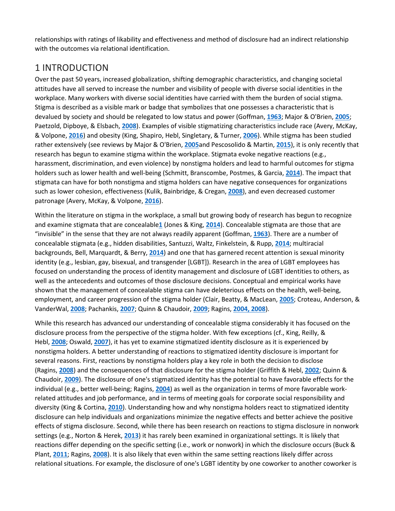relationships with ratings of likability and effectiveness and method of disclosure had an indirect relationship with the outcomes via relational identification.

## 1 INTRODUCTION

Over the past 50 years, increased globalization, shifting demographic characteristics, and changing societal attitudes have all served to increase the number and visibility of people with diverse social identities in the workplace. Many workers with diverse social identities have carried with them the burden of social stigma. Stigma is described as a visible mark or badge that symbolizes that one possesses a characteristic that is devalued by society and should be relegated to low status and power (Goffman, **[1963](https://onlinelibrary.wiley.com/doi/full/10.1111/jasp.12467#jasp12467-bib-0030)**; Major & O'Brien, **[2005](https://onlinelibrary.wiley.com/doi/full/10.1111/jasp.12467#jasp12467-bib-0064)**; Paetzold, Dipboye, & Elsbach, **[2008](https://onlinelibrary.wiley.com/doi/full/10.1111/jasp.12467#jasp12467-bib-0070)**). Examples of visible stigmatizing characteristics include race (Avery, McKay, & Volpone, **[2016](https://onlinelibrary.wiley.com/doi/full/10.1111/jasp.12467#jasp12467-bib-0005)**) and obesity (King, Shapiro, Hebl, Singletary, & Turner, **[2006](https://onlinelibrary.wiley.com/doi/full/10.1111/jasp.12467#jasp12467-bib-0051)**). While stigma has been studied rather extensively (see reviews by Major & O'Brien, **[2005](https://onlinelibrary.wiley.com/doi/full/10.1111/jasp.12467#jasp12467-bib-0064)**and Pescosolido & Martin, **[2015](https://onlinelibrary.wiley.com/doi/full/10.1111/jasp.12467#jasp12467-bib-0071)**), it is only recently that research has begun to examine stigma within the workplace. Stigmata evoke negative reactions (e.g., harassment, discrimination, and even violence) by nonstigma holders and lead to harmful outcomes for stigma holders such as lower health and well-being (Schmitt, Branscombe, Postmes, & Garcia, **[2014](https://onlinelibrary.wiley.com/doi/full/10.1111/jasp.12467#jasp12467-bib-0083)**). The impact that stigmata can have for both nonstigma and stigma holders can have negative consequences for organizations such as lower cohesion, effectiveness (Kulik, Bainbridge, & Cregan, **[2008](https://onlinelibrary.wiley.com/doi/full/10.1111/jasp.12467#jasp12467-bib-0054)**), and even decreased customer patronage (Avery, McKay, & Volpone, **[2016](https://onlinelibrary.wiley.com/doi/full/10.1111/jasp.12467#jasp12467-bib-0005)**).

Within the literature on stigma in the workplace, a small but growing body of research has begun to recognize and examine stigmata that are concealable**[1](https://onlinelibrary.wiley.com/doi/full/10.1111/jasp.12467#jasp12467-note-0009_12)** (Jones & King, **[2014](https://onlinelibrary.wiley.com/doi/full/10.1111/jasp.12467#jasp12467-bib-0045)**). Concealable stigmata are those that are "invisible" in the sense that they are not always readily apparent (Goffman, **[1963](https://onlinelibrary.wiley.com/doi/full/10.1111/jasp.12467#jasp12467-bib-0030)**). There are a number of concealable stigmata (e.g., hidden disabilities, Santuzzi, Waltz, Finkelstein, & Rupp, **[2014](https://onlinelibrary.wiley.com/doi/full/10.1111/jasp.12467#jasp12467-bib-0080)**; multiracial backgrounds, Bell, Marquardt, & Berry, **[2014](https://onlinelibrary.wiley.com/doi/full/10.1111/jasp.12467#jasp12467-bib-0008)**) and one that has garnered recent attention is sexual minority identity (e.g., lesbian, gay, bisexual, and transgender [LGBT]). Research in the area of LGBT employees has focused on understanding the process of identity management and disclosure of LGBT identities to others, as well as the antecedents and outcomes of those disclosure decisions. Conceptual and empirical works have shown that the management of concealable stigma can have deleterious effects on the health, well-being, employment, and career progression of the stigma holder (Clair, Beatty, & MacLean, **[2005](https://onlinelibrary.wiley.com/doi/full/10.1111/jasp.12467#jasp12467-bib-0016)**; Croteau, Anderson, & VanderWal, **[2008](https://onlinelibrary.wiley.com/doi/full/10.1111/jasp.12467#jasp12467-bib-0017)**; Pachankis, **[2007](https://onlinelibrary.wiley.com/doi/full/10.1111/jasp.12467#jasp12467-bib-0069)**; Quinn & Chaudoir, **[2009](https://onlinelibrary.wiley.com/doi/full/10.1111/jasp.12467#jasp12467-bib-0075)**; Ragins, **[2004,](https://onlinelibrary.wiley.com/doi/full/10.1111/jasp.12467#jasp12467-bib-0076) [2008](https://onlinelibrary.wiley.com/doi/full/10.1111/jasp.12467#jasp12467-bib-0077)**).

While this research has advanced our understanding of concealable stigma considerably it has focused on the disclosure process from the perspective of the stigma holder. With few exceptions (cf., King, Reilly, & Hebl, **[2008](https://onlinelibrary.wiley.com/doi/full/10.1111/jasp.12467#jasp12467-bib-0050)**; Oswald, **[2007](https://onlinelibrary.wiley.com/doi/full/10.1111/jasp.12467#jasp12467-bib-0068)**), it has yet to examine stigmatized identity disclosure as it is experienced by nonstigma holders. A better understanding of reactions to stigmatized identity disclosure is important for several reasons. First, reactions by nonstigma holders play a key role in both the decision to disclose (Ragins, **[2008](https://onlinelibrary.wiley.com/doi/full/10.1111/jasp.12467#jasp12467-bib-0077)**) and the consequences of that disclosure for the stigma holder (Griffith & Hebl, **[2002](https://onlinelibrary.wiley.com/doi/full/10.1111/jasp.12467#jasp12467-bib-0033)**; Quinn & Chaudoir, **[2009](https://onlinelibrary.wiley.com/doi/full/10.1111/jasp.12467#jasp12467-bib-0075)**). The disclosure of one's stigmatized identity has the potential to have favorable effects for the individual (e.g., better well-being; Ragins, **[2004](https://onlinelibrary.wiley.com/doi/full/10.1111/jasp.12467#jasp12467-bib-0076)**) as well as the organization in terms of more favorable workrelated attitudes and job performance, and in terms of meeting goals for corporate social responsibility and diversity (King & Cortina, **[2010](https://onlinelibrary.wiley.com/doi/full/10.1111/jasp.12467#jasp12467-bib-0049)**). Understanding how and why nonstigma holders react to stigmatized identity disclosure can help individuals and organizations minimize the negative effects and better achieve the positive effects of stigma disclosure. Second, while there has been research on reactions to stigma disclosure in nonwork settings (e.g., Norton & Herek, **[2013](https://onlinelibrary.wiley.com/doi/full/10.1111/jasp.12467#jasp12467-bib-0066)**) it has rarely been examined in organizational settings. It is likely that reactions differ depending on the specific setting (i.e., work or nonwork) in which the disclosure occurs (Buck & Plant, **[2011](https://onlinelibrary.wiley.com/doi/full/10.1111/jasp.12467#jasp12467-bib-0011)**; Ragins, **[2008](https://onlinelibrary.wiley.com/doi/full/10.1111/jasp.12467#jasp12467-bib-0077)**). It is also likely that even within the same setting reactions likely differ across relational situations. For example, the disclosure of one's LGBT identity by one coworker to another coworker is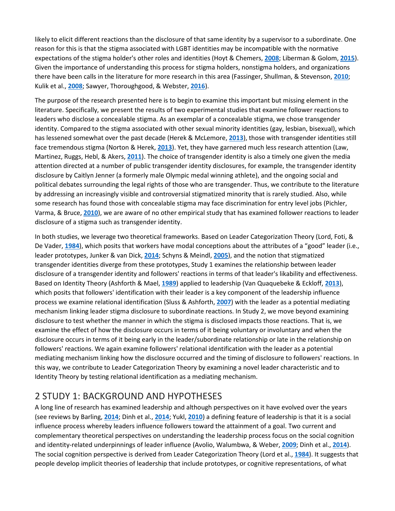likely to elicit different reactions than the disclosure of that same identity by a supervisor to a subordinate. One reason for this is that the stigma associated with LGBT identities may be incompatible with the normative expectations of the stigma holder's other roles and identities (Hoyt & Chemers, **[2008](https://onlinelibrary.wiley.com/doi/full/10.1111/jasp.12467#jasp12467-bib-0042)**; Liberman & Golom, **[2015](https://onlinelibrary.wiley.com/doi/full/10.1111/jasp.12467#jasp12467-bib-0057)**). Given the importance of understanding this process for stigma holders, nonstigma holders, and organizations there have been calls in the literature for more research in this area (Fassinger, Shullman, & Stevenson, **[2010](https://onlinelibrary.wiley.com/doi/full/10.1111/jasp.12467#jasp12467-bib-0029)**; Kulik et al., **[2008](https://onlinelibrary.wiley.com/doi/full/10.1111/jasp.12467#jasp12467-bib-0054)**; Sawyer, Thoroughgood, & Webster, **[2016](https://onlinelibrary.wiley.com/doi/full/10.1111/jasp.12467#jasp12467-bib-0081)**).

The purpose of the research presented here is to begin to examine this important but missing element in the literature. Specifically, we present the results of two experimental studies that examine follower reactions to leaders who disclose a concealable stigma. As an exemplar of a concealable stigma, we chose transgender identity. Compared to the stigma associated with other sexual minority identities (gay, lesbian, bisexual), which has lessened somewhat over the past decade (Herek & McLemore, **[2013](https://onlinelibrary.wiley.com/doi/full/10.1111/jasp.12467#jasp12467-bib-0039)**), those with transgender identities still face tremendous stigma (Norton & Herek, **[2013](https://onlinelibrary.wiley.com/doi/full/10.1111/jasp.12467#jasp12467-bib-0066)**). Yet, they have garnered much less research attention (Law, Martinez, Ruggs, Hebl, & Akers, **[2011](https://onlinelibrary.wiley.com/doi/full/10.1111/jasp.12467#jasp12467-bib-0055)**). The choice of transgender identity is also a timely one given the media attention directed at a number of public transgender identity disclosures, for example, the transgender identity disclosure by Caitlyn Jenner (a formerly male Olympic medal winning athlete), and the ongoing social and political debates surrounding the legal rights of those who are transgender. Thus, we contribute to the literature by addressing an increasingly visible and controversial stigmatized minority that is rarely studied. Also, while some research has found those with concealable stigma may face discrimination for entry level jobs (Pichler, Varma, & Bruce, **[2010](https://onlinelibrary.wiley.com/doi/full/10.1111/jasp.12467#jasp12467-bib-0072)**), we are aware of no other empirical study that has examined follower reactions to leader disclosure of a stigma such as transgender identity.

In both studies, we leverage two theoretical frameworks. Based on Leader Categorization Theory (Lord, Foti, & De Vader, **[1984](https://onlinelibrary.wiley.com/doi/full/10.1111/jasp.12467#jasp12467-bib-0060)**), which posits that workers have modal conceptions about the attributes of a "good" leader (i.e., leader prototypes, Junker & van Dick, **[2014](https://onlinelibrary.wiley.com/doi/full/10.1111/jasp.12467#jasp12467-bib-0046)**; Schyns & Meindl, **[2005](https://onlinelibrary.wiley.com/doi/full/10.1111/jasp.12467#jasp12467-bib-0084)**), and the notion that stigmatized transgender identities diverge from these prototypes, Study 1 examines the relationship between leader disclosure of a transgender identity and followers' reactions in terms of that leader's likability and effectiveness. Based on Identity Theory (Ashforth & Mael, **[1989](https://onlinelibrary.wiley.com/doi/full/10.1111/jasp.12467#jasp12467-bib-0003)**) applied to leadership (Van Quaquebeke & Eckloff, **[2013](https://onlinelibrary.wiley.com/doi/full/10.1111/jasp.12467#jasp12467-bib-0092)**), which posits that followers' identification with their leader is a key component of the leadership influence process we examine relational identification (Sluss & Ashforth, **[2007](https://onlinelibrary.wiley.com/doi/full/10.1111/jasp.12467#jasp12467-bib-0087)**) with the leader as a potential mediating mechanism linking leader stigma disclosure to subordinate reactions. In Study 2, we move beyond examining disclosure to test whether the manner in which the stigma is disclosed impacts those reactions. That is, we examine the effect of how the disclosure occurs in terms of it being voluntary or involuntary and when the disclosure occurs in terms of it being early in the leader/subordinate relationship or late in the relationship on followers' reactions. We again examine followers' relational identification with the leader as a potential mediating mechanism linking how the disclosure occurred and the timing of disclosure to followers' reactions. In this way, we contribute to Leader Categorization Theory by examining a novel leader characteristic and to Identity Theory by testing relational identification as a mediating mechanism.

## 2 STUDY 1: BACKGROUND AND HYPOTHESES

A long line of research has examined leadership and although perspectives on it have evolved over the years (see reviews by Barling, **[2014](https://onlinelibrary.wiley.com/doi/full/10.1111/jasp.12467#jasp12467-bib-0007)**; Dinh et al., **[2014](https://onlinelibrary.wiley.com/doi/full/10.1111/jasp.12467#jasp12467-bib-0020)**; Yukl, **[2010](https://onlinelibrary.wiley.com/doi/full/10.1111/jasp.12467#jasp12467-bib-0094)**) a defining feature of leadership is that it is a social influence process whereby leaders influence followers toward the attainment of a goal. Two current and complementary theoretical perspectives on understanding the leadership process focus on the social cognition and identity-related underpinnings of leader influence (Avolio, Walumbwa, & Weber, **[2009](https://onlinelibrary.wiley.com/doi/full/10.1111/jasp.12467#jasp12467-bib-0006)**; Dinh et al., **[2014](https://onlinelibrary.wiley.com/doi/full/10.1111/jasp.12467#jasp12467-bib-0020)**). The social cognition perspective is derived from Leader Categorization Theory (Lord et al., **[1984](https://onlinelibrary.wiley.com/doi/full/10.1111/jasp.12467#jasp12467-bib-0060)**). It suggests that people develop implicit theories of leadership that include prototypes, or cognitive representations, of what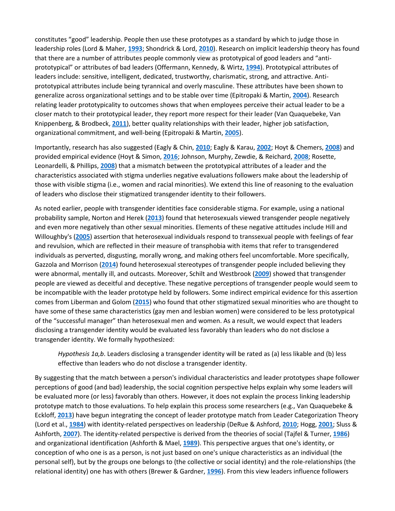constitutes "good" leadership. People then use these prototypes as a standard by which to judge those in leadership roles (Lord & Maher, **[1993](https://onlinelibrary.wiley.com/doi/full/10.1111/jasp.12467#jasp12467-bib-0061)**; Shondrick & Lord, **[2010](https://onlinelibrary.wiley.com/doi/full/10.1111/jasp.12467#jasp12467-bib-0086)**). Research on implicit leadership theory has found that there are a number of attributes people commonly view as prototypical of good leaders and "antiprototypical" or attributes of bad leaders (Offermann, Kennedy, & Wirtz, **[1994](https://onlinelibrary.wiley.com/doi/full/10.1111/jasp.12467#jasp12467-bib-0067)**). Prototypical attributes of leaders include: sensitive, intelligent, dedicated, trustworthy, charismatic, strong, and attractive. Antiprototypical attributes include being tyrannical and overly masculine. These attributes have been shown to generalize across organizational settings and to be stable over time (Epitropaki & Martin, **[2004](https://onlinelibrary.wiley.com/doi/full/10.1111/jasp.12467#jasp12467-bib-0026)**). Research relating leader prototypicality to outcomes shows that when employees perceive their actual leader to be a closer match to their prototypical leader, they report more respect for their leader (Van Quaquebeke, Van Knippenberg, & Brodbeck, **[2011](https://onlinelibrary.wiley.com/doi/full/10.1111/jasp.12467#jasp12467-bib-0093)**), better quality relationships with their leader, higher job satisfaction, organizational commitment, and well-being (Epitropaki & Martin, **[2005](https://onlinelibrary.wiley.com/doi/full/10.1111/jasp.12467#jasp12467-bib-0027)**).

Importantly, research has also suggested (Eagly & Chin, **[2010](https://onlinelibrary.wiley.com/doi/full/10.1111/jasp.12467#jasp12467-bib-0022)**; Eagly & Karau, **[2002](https://onlinelibrary.wiley.com/doi/full/10.1111/jasp.12467#jasp12467-bib-0023)**; Hoyt & Chemers, **[2008](https://onlinelibrary.wiley.com/doi/full/10.1111/jasp.12467#jasp12467-bib-0042)**) and provided empirical evidence (Hoyt & Simon, **[2016](https://onlinelibrary.wiley.com/doi/full/10.1111/jasp.12467#jasp12467-bib-0043)**; Johnson, Murphy, Zewdie, & Reichard, **[2008](https://onlinelibrary.wiley.com/doi/full/10.1111/jasp.12467#jasp12467-bib-0044)**; Rosette, Leonardelli, & Phillips, **[2008](https://onlinelibrary.wiley.com/doi/full/10.1111/jasp.12467#jasp12467-bib-0079)**) that a mismatch between the prototypical attributes of a leader and the characteristics associated with stigma underlies negative evaluations followers make about the leadership of those with visible stigma (i.e., women and racial minorities). We extend this line of reasoning to the evaluation of leaders who disclose their stigmatized transgender identity to their followers.

As noted earlier, people with transgender identities face considerable stigma. For example, using a national probability sample, Norton and Herek (**[2013](https://onlinelibrary.wiley.com/doi/full/10.1111/jasp.12467#jasp12467-bib-0066)**) found that heterosexuals viewed transgender people negatively and even more negatively than other sexual minorities. Elements of these negative attitudes include Hill and Willoughby's (**[2005](https://onlinelibrary.wiley.com/doi/full/10.1111/jasp.12467#jasp12467-bib-0040)**) assertion that heterosexual individuals respond to transsexual people with feelings of fear and revulsion, which are reflected in their measure of transphobia with items that refer to transgendered individuals as perverted, disgusting, morally wrong, and making others feel uncomfortable. More specifically, Gazzola and Morrison (**[2014](https://onlinelibrary.wiley.com/doi/full/10.1111/jasp.12467#jasp12467-bib-1007)**) found heterosexual stereotypes of transgender people included believing they were abnormal, mentally ill, and outcasts. Moreover, Schilt and Westbrook (**[2009](https://onlinelibrary.wiley.com/doi/full/10.1111/jasp.12467#jasp12467-bib-0082)**) showed that transgender people are viewed as deceitful and deceptive. These negative perceptions of transgender people would seem to be incompatible with the leader prototype held by followers. Some indirect empirical evidence for this assertion comes from Liberman and Golom (**[2015](https://onlinelibrary.wiley.com/doi/full/10.1111/jasp.12467#jasp12467-bib-0057)**) who found that other stigmatized sexual minorities who are thought to have some of these same characteristics (gay men and lesbian women) were considered to be less prototypical of the "successful manager" than heterosexual men and women. As a result, we would expect that leaders disclosing a transgender identity would be evaluated less favorably than leaders who do not disclose a transgender identity. We formally hypothesized:

*Hypothesis 1a,b*. Leaders disclosing a transgender identity will be rated as (a) less likable and (b) less effective than leaders who do not disclose a transgender identity.

By suggesting that the match between a person's individual characteristics and leader prototypes shape follower perceptions of good (and bad) leadership, the social cognition perspective helps explain why some leaders will be evaluated more (or less) favorably than others. However, it does not explain the process linking leadership prototype match to those evaluations. To help explain this process some researchers (e.g., Van Quaquebeke & Eckloff, **[2013](https://onlinelibrary.wiley.com/doi/full/10.1111/jasp.12467#jasp12467-bib-0092)**) have begun integrating the concept of leader prototype match from Leader Categorization Theory (Lord et al., **[1984](https://onlinelibrary.wiley.com/doi/full/10.1111/jasp.12467#jasp12467-bib-0060)**) with identity-related perspectives on leadership (DeRue & Ashford, **[2010](https://onlinelibrary.wiley.com/doi/full/10.1111/jasp.12467#jasp12467-bib-0019)**; Hogg, **[2001](https://onlinelibrary.wiley.com/doi/full/10.1111/jasp.12467#jasp12467-bib-0041)**; Sluss & Ashforth, **[2007](https://onlinelibrary.wiley.com/doi/full/10.1111/jasp.12467#jasp12467-bib-0087)**). The identity-related perspective is derived from the theories of social (Tajfel & Turner, **[1986](https://onlinelibrary.wiley.com/doi/full/10.1111/jasp.12467#jasp12467-bib-1002)**) and organizational identification (Ashforth & Mael, **[1989](https://onlinelibrary.wiley.com/doi/full/10.1111/jasp.12467#jasp12467-bib-0003)**). This perspective argues that one's identity, or conception of who one is as a person, is not just based on one's unique characteristics as an individual (the personal self), but by the groups one belongs to (the collective or social identity) and the role-relationships (the relational identity) one has with others (Brewer & Gardner, **[1996](https://onlinelibrary.wiley.com/doi/full/10.1111/jasp.12467#jasp12467-bib-0009)**). From this view leaders influence followers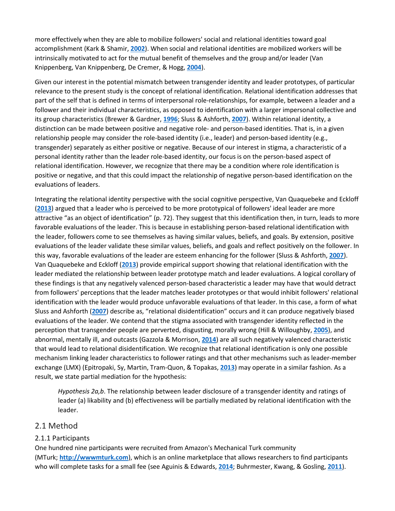more effectively when they are able to mobilize followers' social and relational identities toward goal accomplishment (Kark & Shamir, **[2002](https://onlinelibrary.wiley.com/doi/full/10.1111/jasp.12467#jasp12467-bib-0048)**). When social and relational identities are mobilized workers will be intrinsically motivated to act for the mutual benefit of themselves and the group and/or leader (Van Knippenberg, Van Knippenberg, De Cremer, & Hogg, **[2004](https://onlinelibrary.wiley.com/doi/full/10.1111/jasp.12467#jasp12467-bib-0091)**).

Given our interest in the potential mismatch between transgender identity and leader prototypes, of particular relevance to the present study is the concept of relational identification. Relational identification addresses that part of the self that is defined in terms of interpersonal role-relationships, for example, between a leader and a follower and their individual characteristics, as opposed to identification with a larger impersonal collective and its group characteristics (Brewer & Gardner, **[1996](https://onlinelibrary.wiley.com/doi/full/10.1111/jasp.12467#jasp12467-bib-0009)**; Sluss & Ashforth, **[2007](https://onlinelibrary.wiley.com/doi/full/10.1111/jasp.12467#jasp12467-bib-0087)**). Within relational identity, a distinction can be made between positive and negative role- and person-based identities. That is, in a given relationship people may consider the role-based identity (i.e., leader) and person-based identity (e.g., transgender) separately as either positive or negative. Because of our interest in stigma, a characteristic of a personal identity rather than the leader role-based identity, our focus is on the person-based aspect of relational identification. However, we recognize that there may be a condition where role identification is positive or negative, and that this could impact the relationship of negative person-based identification on the evaluations of leaders.

Integrating the relational identity perspective with the social cognitive perspective, Van Quaquebeke and Eckloff (**[2013](https://onlinelibrary.wiley.com/doi/full/10.1111/jasp.12467#jasp12467-bib-0092)**) argued that a leader who is perceived to be more prototypical of followers' ideal leader are more attractive "as an object of identification" (p. 72). They suggest that this identification then, in turn, leads to more favorable evaluations of the leader. This is because in establishing person-based relational identification with the leader, followers come to see themselves as having similar values, beliefs, and goals. By extension, positive evaluations of the leader validate these similar values, beliefs, and goals and reflect positively on the follower. In this way, favorable evaluations of the leader are esteem enhancing for the follower (Sluss & Ashforth, **[2007](https://onlinelibrary.wiley.com/doi/full/10.1111/jasp.12467#jasp12467-bib-0087)**). Van Quaquebeke and Eckloff (**[2013](https://onlinelibrary.wiley.com/doi/full/10.1111/jasp.12467#jasp12467-bib-0092)**) provide empirical support showing that relational identification with the leader mediated the relationship between leader prototype match and leader evaluations. A logical corollary of these findings is that any negatively valenced person-based characteristic a leader may have that would detract from followers' perceptions that the leader matches leader prototypes or that would inhibit followers' relational identification with the leader would produce unfavorable evaluations of that leader. In this case, a form of what Sluss and Ashforth (**[2007](https://onlinelibrary.wiley.com/doi/full/10.1111/jasp.12467#jasp12467-bib-0087)**) describe as, "relational disidentification" occurs and it can produce negatively biased evaluations of the leader. We contend that the stigma associated with transgender identity reflected in the perception that transgender people are perverted, disgusting, morally wrong (Hill & Willoughby, **[2005](https://onlinelibrary.wiley.com/doi/full/10.1111/jasp.12467#jasp12467-bib-0040)**), and abnormal, mentally ill, and outcasts (Gazzola & Morrison, **[2014](https://onlinelibrary.wiley.com/doi/full/10.1111/jasp.12467#jasp12467-bib-1007)**) are all such negatively valenced characteristic that would lead to relational disidentification. We recognize that relational identification is only one possible mechanism linking leader characteristics to follower ratings and that other mechanisms such as leader-member exchange (LMX) (Epitropaki, Sy, Martin, Tram-Quon, & Topakas, **[2013](https://onlinelibrary.wiley.com/doi/full/10.1111/jasp.12467#jasp12467-bib-0028)**) may operate in a similar fashion. As a result, we state partial mediation for the hypothesis:

*Hypothesis 2a,b*. The relationship between leader disclosure of a transgender identity and ratings of leader (a) likability and (b) effectiveness will be partially mediated by relational identification with the leader.

#### 2.1 Method

#### 2.1.1 Participants

One hundred nine participants were recruited from Amazon's Mechanical Turk community (MTurk; **[http://wwwmturk.com](http://wwwmturk.com/)**), which is an online marketplace that allows researchers to find participants who will complete tasks for a small fee (see Aguinis & Edwards, **[2014](https://onlinelibrary.wiley.com/doi/full/10.1111/jasp.12467#jasp12467-bib-0002)**; Buhrmester, Kwang, & Gosling, **[2011](https://onlinelibrary.wiley.com/doi/full/10.1111/jasp.12467#jasp12467-bib-0012)**).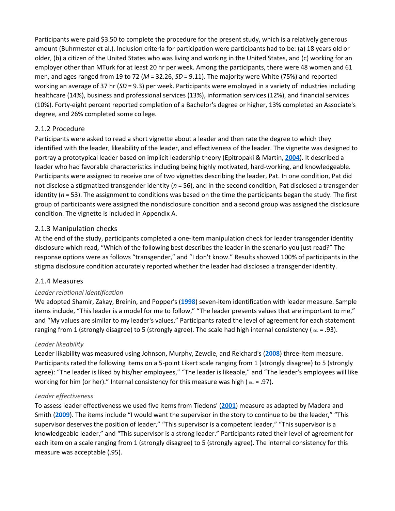Participants were paid \$3.50 to complete the procedure for the present study, which is a relatively generous amount (Buhrmester et al.). Inclusion criteria for participation were participants had to be: (a) 18 years old or older, (b) a citizen of the United States who was living and working in the United States, and (c) working for an employer other than MTurk for at least 20 hr per week. Among the participants, there were 48 women and 61 men, and ages ranged from 19 to 72 (*M* = 32.26, *SD* = 9.11). The majority were White (75%) and reported working an average of 37 hr (*SD* = 9.3) per week. Participants were employed in a variety of industries including healthcare (14%), business and professional services (13%), information services (12%), and financial services (10%). Forty‐eight percent reported completion of a Bachelor's degree or higher, 13% completed an Associate's degree, and 26% completed some college.

#### 2.1.2 Procedure

Participants were asked to read a short vignette about a leader and then rate the degree to which they identified with the leader, likeability of the leader, and effectiveness of the leader. The vignette was designed to portray a prototypical leader based on implicit leadership theory (Epitropaki & Martin, **[2004](https://onlinelibrary.wiley.com/doi/full/10.1111/jasp.12467#jasp12467-bib-0026)**). It described a leader who had favorable characteristics including being highly motivated, hard-working, and knowledgeable. Participants were assigned to receive one of two vignettes describing the leader, Pat. In one condition, Pat did not disclose a stigmatized transgender identity (*n* = 56), and in the second condition, Pat disclosed a transgender identity (*n* = 53). The assignment to conditions was based on the time the participants began the study. The first group of participants were assigned the nondisclosure condition and a second group was assigned the disclosure condition. The vignette is included in Appendix A.

#### 2.1.3 Manipulation checks

At the end of the study, participants completed a one-item manipulation check for leader transgender identity disclosure which read, "Which of the following best describes the leader in the scenario you just read?" The response options were as follows "transgender," and "I don't know." Results showed 100% of participants in the stigma disclosure condition accurately reported whether the leader had disclosed a transgender identity.

#### 2.1.4 Measures

#### *Leader relational identification*

We adopted Shamir, Zakay, Breinin, and Popper's (**[1998](https://onlinelibrary.wiley.com/doi/full/10.1111/jasp.12467#jasp12467-bib-0085)**) seven-item identification with leader measure. Sample items include, "This leader is a model for me to follow," "The leader presents values that are important to me," and "My values are similar to my leader's values." Participants rated the level of agreement for each statement ranging from 1 (strongly disagree) to 5 (strongly agree). The scale had high internal consistency ( $\alpha$  = .93).

#### *Leader likeability*

Leader likability was measured using Johnson, Murphy, Zewdie, and Reichard's (**[2008](https://onlinelibrary.wiley.com/doi/full/10.1111/jasp.12467#jasp12467-bib-0044)**) three-item measure. Participants rated the following items on a 5-point Likert scale ranging from 1 (strongly disagree) to 5 (strongly agree): "The leader is liked by his/her employees," "The leader is likeable," and "The leader's employees will like working for him (or her)." Internal consistency for this measure was high ( $\alpha$  = .97).

#### *Leader effectiveness*

To assess leader effectiveness we used five items from Tiedens' (**[2001](https://onlinelibrary.wiley.com/doi/full/10.1111/jasp.12467#jasp12467-bib-0089)**) measure as adapted by Madera and Smith (**[2009](https://onlinelibrary.wiley.com/doi/full/10.1111/jasp.12467#jasp12467-bib-0063)**). The items include "I would want the supervisor in the story to continue to be the leader," "This supervisor deserves the position of leader," "This supervisor is a competent leader," "This supervisor is a knowledgeable leader," and "This supervisor is a strong leader." Participants rated their level of agreement for each item on a scale ranging from 1 (strongly disagree) to 5 (strongly agree). The internal consistency for this measure was acceptable (.95).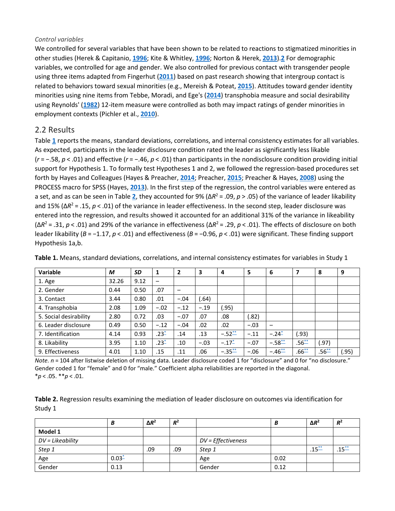#### *Control variables*

We controlled for several variables that have been shown to be related to reactions to stigmatized minorities in other studies (Herek & Capitanio, **[1996](https://onlinelibrary.wiley.com/doi/full/10.1111/jasp.12467#jasp12467-bib-0038)**; Kite & Whitley, **[1996](https://onlinelibrary.wiley.com/doi/full/10.1111/jasp.12467#jasp12467-bib-0053)**; Norton & Herek, **[2013](https://onlinelibrary.wiley.com/doi/full/10.1111/jasp.12467#jasp12467-bib-0066)**).**[2](https://onlinelibrary.wiley.com/doi/full/10.1111/jasp.12467#jasp12467-note-0010_99)** For demographic variables, we controlled for age and gender. We also controlled for previous contact with transgender people using three items adapted from Fingerhut (**[2011](https://onlinelibrary.wiley.com/doi/full/10.1111/jasp.12467#jasp12467-bib-1008)**) based on past research showing that intergroup contact is related to behaviors toward sexual minorities (e.g., Mereish & Poteat, **[2015](https://onlinelibrary.wiley.com/doi/full/10.1111/jasp.12467#jasp12467-bib-0065)**). Attitudes toward gender identity minorities using nine items from Tebbe, Moradi, and Ege's (**[2014](https://onlinelibrary.wiley.com/doi/full/10.1111/jasp.12467#jasp12467-bib-0088)**) transphobia measure and social desirability using Reynolds' (**[1982](https://onlinelibrary.wiley.com/doi/full/10.1111/jasp.12467#jasp12467-bib-0078)**) 12-item measure were controlled as both may impact ratings of gender minorities in employment contexts (Pichler et al., **[2010](https://onlinelibrary.wiley.com/doi/full/10.1111/jasp.12467#jasp12467-bib-0072)**).

#### 2.2 Results

Table **[1](https://onlinelibrary.wiley.com/doi/full/10.1111/jasp.12467#jasp12467-tbl-0001)** reports the means, standard deviations, correlations, and internal consistency estimates for all variables. As expected, participants in the leader disclosure condition rated the leader as significantly less likable (*r* = −.58, *p* < .01) and effective (*r* = −.46, *p* < .01) than participants in the nondisclosure condition providing initial support for Hypothesis 1. To formally test Hypotheses 1 and 2, we followed the regression-based procedures set forth by Hayes and Colleagues (Hayes & Preacher, **[2014](https://onlinelibrary.wiley.com/doi/full/10.1111/jasp.12467#jasp12467-bib-0036)**; Preacher, **[2015](https://onlinelibrary.wiley.com/doi/full/10.1111/jasp.12467#jasp12467-bib-0073)**; Preacher & Hayes, **[2008](https://onlinelibrary.wiley.com/doi/full/10.1111/jasp.12467#jasp12467-bib-0074)**) using the PROCESS macro for SPSS (Hayes, **[2013](https://onlinelibrary.wiley.com/doi/full/10.1111/jasp.12467#jasp12467-bib-0035)**). In the first step of the regression, the control variables were entered as a set, and as can be seen in Table **[2](https://onlinelibrary.wiley.com/doi/full/10.1111/jasp.12467#jasp12467-tbl-0002)**, they accounted for 9% (Δ*R*<sup>2</sup> = .09, *p* > .05) of the variance of leader likability and 15% (Δ*R*<sup>2</sup> = .15, *p* < .01) of the variance in leader effectiveness. In the second step, leader disclosure was entered into the regression, and results showed it accounted for an additional 31% of the variance in likeability (Δ*R*<sup>2</sup> = .31, *p* < .01) and 29% of the variance in effectiveness (Δ*R*<sup>2</sup> = .29, *p* < .01). The effects of disclosure on both leader likability (*B* = −1.17, *p* < .01) and effectiveness (*B* = −0.96, *p* < .01) were significant. These finding support Hypothesis 1a,b.

| <b>Variable</b>        | M     | SD   | 1         | 2      | 3      | 4           | 5      | 6           | 7          | 8          | 9     |
|------------------------|-------|------|-----------|--------|--------|-------------|--------|-------------|------------|------------|-------|
| 1. Age                 | 32.26 | 9.12 | -         |        |        |             |        |             |            |            |       |
| 2. Gender              | 0.44  | 0.50 | .07       |        |        |             |        |             |            |            |       |
| 3. Contact             | 3.44  | 0.80 | .01       | $-.04$ | (.64)  |             |        |             |            |            |       |
| 4. Transphobia         | 2.08  | 1.09 | $-.02$    | $-.12$ | $-.19$ | (.95)       |        |             |            |            |       |
| 5. Social desirability | 2.80  | 0.72 | .03       | $-.07$ | .07    | .08         | (.82)  |             |            |            |       |
| 6. Leader disclosure   | 0.49  | 0.50 | $-.12$    | $-.04$ | .02    | .02         | $-.03$ |             |            |            |       |
| 7. Identification      | 4.14  | 0.93 | $.23^{*}$ | .14    | .13    | $-.52^{**}$ | $-.11$ | $-.24-$     | .93)       |            |       |
| 8. Likability          | 3.95  | 1.10 | $.23^*$   | .10    | $-.03$ | $-.17^*$    | $-.07$ | $-.58^{**}$ | $.56^{**}$ | .97)       |       |
| 9. Effectiveness       | 4.01  | 1.10 | .15       | .11    | .06    | $-.35^{**}$ | $-.06$ | $-.46**$    | $.66^{**}$ | $.56^{**}$ | (.95) |

**Table 1.** Means, standard deviations, correlations, and internal consistency estimates for variables in Study 1

*Note. n* = 104 after listwise deletion of missing data. Leader disclosure coded 1 for "disclosure" and 0 for "no disclosure." Gender coded 1 for "female" and 0 for "male." Coefficient alpha reliabilities are reported in the diagonal. \**p* < .05. \*\**p* < .01.

| Table 2. Regression results examining the mediation of leader disclosure on outcomes via identification for |  |
|-------------------------------------------------------------------------------------------------------------|--|
| Study 1                                                                                                     |  |

|                  | В        | $\Delta R^2$ | $R^2$ |                    | В    | $\Delta R^2$ | $R^2$      |
|------------------|----------|--------------|-------|--------------------|------|--------------|------------|
| Model 1          |          |              |       |                    |      |              |            |
| DV = Likeability |          |              |       | DV = Effectiveness |      |              |            |
| Step 1           |          | .09          | .09   | Step 1             |      | $.15^{**}$   | $.15^{**}$ |
| Age              | $0.03 -$ |              |       | Age                | 0.02 |              |            |
| Gender           | 0.13     |              |       | Gender             | 0.12 |              |            |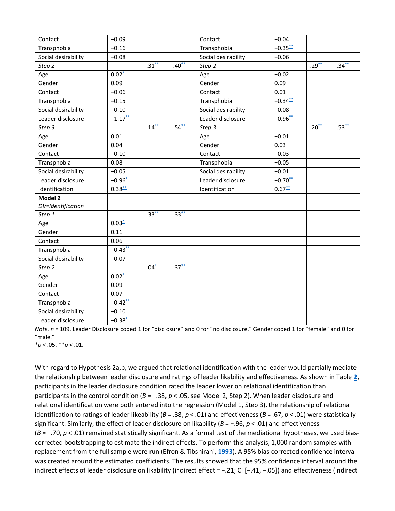| Contact             | $-0.09$      |            |            | Contact             | $-0.04$      |            |            |
|---------------------|--------------|------------|------------|---------------------|--------------|------------|------------|
| Transphobia         | $-0.16$      |            |            | Transphobia         | $-0.35$      |            |            |
| Social desirability | $-0.08$      |            |            | Social desirability | $-0.06$      |            |            |
| Step 2              |              | $.31^{**}$ | $.40^{**}$ | Step 2              |              | $.29^{**}$ | $.34^{**}$ |
| Age                 | $0.02^*$     |            |            | Age                 | $-0.02$      |            |            |
| Gender              | 0.09         |            |            | Gender              | 0.09         |            |            |
| Contact             | $-0.06$      |            |            | Contact             | 0.01         |            |            |
| Transphobia         | $-0.15$      |            |            | Transphobia         | $-0.34^{**}$ |            |            |
| Social desirability | $-0.10$      |            |            | Social desirability | $-0.08$      |            |            |
| Leader disclosure   | $-1.17^{**}$ |            |            | Leader disclosure   | $-0.96^{**}$ |            |            |
| Step 3              |              | $.14^{**}$ | $.54^{**}$ | Step 3              |              | $.20^{**}$ | $.53^{**}$ |
| Age                 | 0.01         |            |            | Age                 | $-0.01$      |            |            |
| Gender              | 0.04         |            |            | Gender              | 0.03         |            |            |
| Contact             | $-0.10$      |            |            | Contact             | $-0.03$      |            |            |
| Transphobia         | 0.08         |            |            | Transphobia         | $-0.05$      |            |            |
| Social desirability | $-0.05$      |            |            | Social desirability | $-0.01$      |            |            |
| Leader disclosure   | $-0.96 -$    |            |            | Leader disclosure   | $-0.70^{**}$ |            |            |
| Identification      | $0.38^{**}$  |            |            | Identification      | $0.67^{**}$  |            |            |
| Model 2             |              |            |            |                     |              |            |            |
| DV=Identification   |              |            |            |                     |              |            |            |
| Step 1              |              | $.33^{**}$ | $.33^{**}$ |                     |              |            |            |
| Age                 | $0.03 -$     |            |            |                     |              |            |            |
| Gender              | 0.11         |            |            |                     |              |            |            |
| Contact             | 0.06         |            |            |                     |              |            |            |
| Transphobia         | $-0.43$      |            |            |                     |              |            |            |
| Social desirability | $-0.07$      |            |            |                     |              |            |            |
| Step 2              |              | $.04 -$    | $.37^{**}$ |                     |              |            |            |
| Age                 | $0.02^*$     |            |            |                     |              |            |            |
| Gender              | 0.09         |            |            |                     |              |            |            |
| Contact             | 0.07         |            |            |                     |              |            |            |
| Transphobia         | $-0.42$      |            |            |                     |              |            |            |
| Social desirability | $-0.10$      |            |            |                     |              |            |            |
| Leader disclosure   | $-0.38 -$    |            |            |                     |              |            |            |

*Note. n* = 109. Leader Disclosure coded 1 for "disclosure" and 0 for "no disclosure." Gender coded 1 for "female" and 0 for "male."

\**p* < .05. \*\**p* < .01.

With regard to Hypothesis 2a,b, we argued that relational identification with the leader would partially mediate the relationship between leader disclosure and ratings of leader likability and effectiveness. As shown in Table **[2](https://onlinelibrary.wiley.com/doi/full/10.1111/jasp.12467#jasp12467-tbl-0002)**, participants in the leader disclosure condition rated the leader lower on relational identification than participants in the control condition (*B* = −.38, *p* < .05, see Model 2, Step 2). When leader disclosure and relational identification were both entered into the regression (Model 1, Step 3), the relationship of relational identification to ratings of leader likeability (*B* = .38, *p* < .01) and effectiveness (*B* = .67, *p* < .01) were statistically significant. Similarly, the effect of leader disclosure on likability (*B* = −.96, *p* < .01) and effectiveness (*B* = −.70, *p* < .01) remained statistically significant. As a formal test of the mediational hypotheses, we used biascorrected bootstrapping to estimate the indirect effects. To perform this analysis, 1,000 random samples with replacement from the full sample were run (Efron & Tibshirani, **[1993](https://onlinelibrary.wiley.com/doi/full/10.1111/jasp.12467#jasp12467-bib-0025)**). A 95% bias‐corrected confidence interval was created around the estimated coefficients. The results showed that the 95% confidence interval around the indirect effects of leader disclosure on likability (indirect effect = −.21; CI [−.41, −.05]) and effectiveness (indirect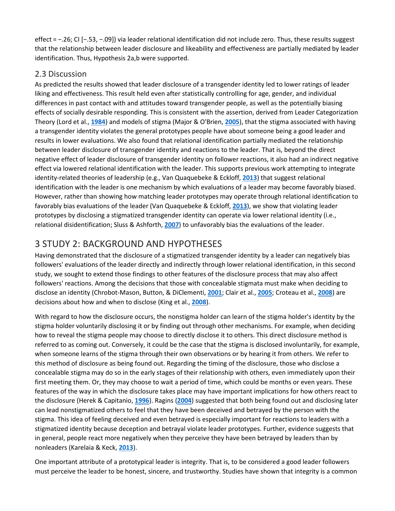effect = −.26; CI [−.53, −.09]) via leader relational identification did not include zero. Thus, these results suggest that the relationship between leader disclosure and likeability and effectiveness are partially mediated by leader identification. Thus, Hypothesis 2a,b were supported.

#### 2.3 Discussion

As predicted the results showed that leader disclosure of a transgender identity led to lower ratings of leader liking and effectiveness. This result held even after statistically controlling for age, gender, and individual differences in past contact with and attitudes toward transgender people, as well as the potentially biasing effects of socially desirable responding. This is consistent with the assertion, derived from Leader Categorization Theory (Lord et al., **[1984](https://onlinelibrary.wiley.com/doi/full/10.1111/jasp.12467#jasp12467-bib-0060)**) and models of stigma (Major & O'Brien, **[2005](https://onlinelibrary.wiley.com/doi/full/10.1111/jasp.12467#jasp12467-bib-0064)**), that the stigma associated with having a transgender identity violates the general prototypes people have about someone being a good leader and results in lower evaluations. We also found that relational identification partially mediated the relationship between leader disclosure of transgender identity and reactions to the leader. That is, beyond the direct negative effect of leader disclosure of transgender identity on follower reactions, it also had an indirect negative effect via lowered relational identification with the leader. This supports previous work attempting to integrate identity-related theories of leadership (e.g., Van Quaquebeke & Eckloff, **[2013](https://onlinelibrary.wiley.com/doi/full/10.1111/jasp.12467#jasp12467-bib-0092)**) that suggest relational identification with the leader is one mechanism by which evaluations of a leader may become favorably biased. However, rather than showing how matching leader prototypes may operate through relational identification to favorably bias evaluations of the leader (Van Quaquebeke & Eckloff, **[2013](https://onlinelibrary.wiley.com/doi/full/10.1111/jasp.12467#jasp12467-bib-0092)**), we show that violating leader prototypes by disclosing a stigmatized transgender identity can operate via lower relational identity (i.e., relational disidentification; Sluss & Ashforth, **[2007](https://onlinelibrary.wiley.com/doi/full/10.1111/jasp.12467#jasp12467-bib-0087)**) to unfavorably bias the evaluations of the leader.

## 3 STUDY 2: BACKGROUND AND HYPOTHESES

Having demonstrated that the disclosure of a stigmatized transgender identity by a leader can negatively bias followers' evaluations of the leader directly and indirectly through lower relational identification, in this second study, we sought to extend those findings to other features of the disclosure process that may also affect followers' reactions. Among the decisions that those with concealable stigmata must make when deciding to disclose an identity (Chrobot-Mason, Button, & DiClementi, **[2001](https://onlinelibrary.wiley.com/doi/full/10.1111/jasp.12467#jasp12467-bib-0015)**; Clair et al., **[2005](https://onlinelibrary.wiley.com/doi/full/10.1111/jasp.12467#jasp12467-bib-0016)**; Croteau et al., **[2008](https://onlinelibrary.wiley.com/doi/full/10.1111/jasp.12467#jasp12467-bib-0017)**) are decisions about how and when to disclose (King et al., **[2008](https://onlinelibrary.wiley.com/doi/full/10.1111/jasp.12467#jasp12467-bib-0050)**).

With regard to how the disclosure occurs, the nonstigma holder can learn of the stigma holder's identity by the stigma holder voluntarily disclosing it or by finding out through other mechanisms. For example, when deciding how to reveal the stigma people may choose to directly disclose it to others. This direct disclosure method is referred to as coming out. Conversely, it could be the case that the stigma is disclosed involuntarily, for example, when someone learns of the stigma through their own observations or by hearing it from others. We refer to this method of disclosure as being found out. Regarding the timing of the disclosure, those who disclose a concealable stigma may do so in the early stages of their relationship with others, even immediately upon their first meeting them. Or, they may choose to wait a period of time, which could be months or even years. These features of the way in which the disclosure takes place may have important implications for how others react to the disclosure (Herek & Capitanio, **[1996](https://onlinelibrary.wiley.com/doi/full/10.1111/jasp.12467#jasp12467-bib-0038)**). Ragins (**[2004](https://onlinelibrary.wiley.com/doi/full/10.1111/jasp.12467#jasp12467-bib-0076)**) suggested that both being found out and disclosing later can lead nonstigmatized others to feel that they have been deceived and betrayed by the person with the stigma. This idea of feeling deceived and even betrayed is especially important for reactions to leaders with a stigmatized identity because deception and betrayal violate leader prototypes. Further, evidence suggests that in general, people react more negatively when they perceive they have been betrayed by leaders than by nonleaders (Karelaia & Keck, **[2013](https://onlinelibrary.wiley.com/doi/full/10.1111/jasp.12467#jasp12467-bib-1010)**).

One important attribute of a prototypical leader is integrity. That is, to be considered a good leader followers must perceive the leader to be honest, sincere, and trustworthy. Studies have shown that integrity is a common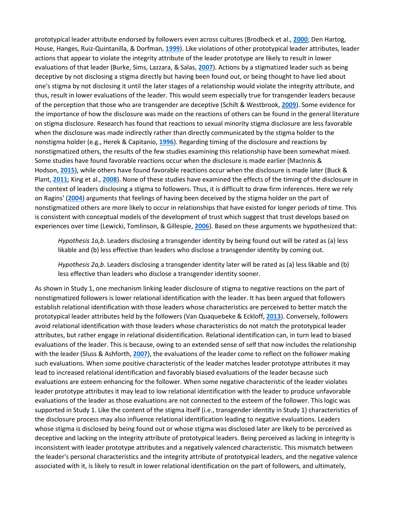prototypical leader attribute endorsed by followers even across cultures (Brodbeck et al., **[2000](https://onlinelibrary.wiley.com/doi/full/10.1111/jasp.12467#jasp12467-bib-0010)**; Den Hartog, House, Hanges, Ruiz-Quintanilla, & Dorfman, **[1999](https://onlinelibrary.wiley.com/doi/full/10.1111/jasp.12467#jasp12467-bib-0018)**). Like violations of other prototypical leader attributes, leader actions that appear to violate the integrity attribute of the leader prototype are likely to result in lower evaluations of that leader (Burke, Sims, Lazzara, & Salas, **[2007](https://onlinelibrary.wiley.com/doi/full/10.1111/jasp.12467#jasp12467-bib-0013)**). Actions by a stigmatized leader such as being deceptive by not disclosing a stigma directly but having been found out, or being thought to have lied about one's stigma by not disclosing it until the later stages of a relationship would violate the integrity attribute, and thus, result in lower evaluations of the leader. This would seem especially true for transgender leaders because of the perception that those who are transgender are deceptive (Schilt & Westbrook, **[2009](https://onlinelibrary.wiley.com/doi/full/10.1111/jasp.12467#jasp12467-bib-0082)**). Some evidence for the importance of how the disclosure was made on the reactions of others can be found in the general literature on stigma disclosure. Research has found that reactions to sexual minority stigma disclosure are less favorable when the disclosure was made indirectly rather than directly communicated by the stigma holder to the nonstigma holder (e.g., Herek & Capitanio, **[1996](https://onlinelibrary.wiley.com/doi/full/10.1111/jasp.12467#jasp12467-bib-0038)**). Regarding timing of the disclosure and reactions by nonstigmatized others, the results of the few studies examining this relationship have been somewhat mixed. Some studies have found favorable reactions occur when the disclosure is made earlier (MacInnis & Hodson, **[2015](https://onlinelibrary.wiley.com/doi/full/10.1111/jasp.12467#jasp12467-bib-0062)**), while others have found favorable reactions occur when the disclosure is made later (Buck & Plant, **[2011](https://onlinelibrary.wiley.com/doi/full/10.1111/jasp.12467#jasp12467-bib-0011)**; King et al., **[2008](https://onlinelibrary.wiley.com/doi/full/10.1111/jasp.12467#jasp12467-bib-0050)**). None of these studies have examined the effects of the timing of the disclosure in the context of leaders disclosing a stigma to followers. Thus, it is difficult to draw firm inferences. Here we rely on Ragins' (**[2004](https://onlinelibrary.wiley.com/doi/full/10.1111/jasp.12467#jasp12467-bib-0076)**) arguments that feelings of having been deceived by the stigma holder on the part of nonstigmatized others are more likely to occur in relationships that have existed for longer periods of time. This is consistent with conceptual models of the development of trust which suggest that trust develops based on experiences over time (Lewicki, Tomlinson, & Gillespie, **[2006](https://onlinelibrary.wiley.com/doi/full/10.1111/jasp.12467#jasp12467-bib-0056)**). Based on these arguments we hypothesized that:

*Hypothesis 1a,b*. Leaders disclosing a transgender identity by being found out will be rated as (a) less likable and (b) less effective than leaders who disclose a transgender identity by coming out.

*Hypothesis 2a,b*. Leaders disclosing a transgender identity later will be rated as (a) less likable and (b) less effective than leaders who disclose a transgender identity sooner.

As shown in Study 1, one mechanism linking leader disclosure of stigma to negative reactions on the part of nonstigmatized followers is lower relational identification with the leader. It has been argued that followers establish relational identification with those leaders whose characteristics are perceived to better match the prototypical leader attributes held by the followers (Van Quaquebeke & Eckloff, **[2013](https://onlinelibrary.wiley.com/doi/full/10.1111/jasp.12467#jasp12467-bib-0092)**). Conversely, followers avoid relational identification with those leaders whose characteristics do not match the prototypical leader attributes, but rather engage in relational disidentification. Relational identification can, in turn lead to biased evaluations of the leader. This is because, owing to an extended sense of self that now includes the relationship with the leader (Sluss & Ashforth, **[2007](https://onlinelibrary.wiley.com/doi/full/10.1111/jasp.12467#jasp12467-bib-0087)**), the evaluations of the leader come to reflect on the follower making such evaluations. When some positive characteristic of the leader matches leader prototype attributes it may lead to increased relational identification and favorably biased evaluations of the leader because such evaluations are esteem enhancing for the follower. When some negative characteristic of the leader violates leader prototype attributes it may lead to low relational identification with the leader to produce unfavorable evaluations of the leader as those evaluations are not connected to the esteem of the follower. This logic was supported in Study 1. Like the content of the stigma itself (i.e., transgender identity in Study 1) characteristics of the disclosure process may also influence relational identification leading to negative evaluations. Leaders whose stigma is disclosed by being found out or whose stigma was disclosed later are likely to be perceived as deceptive and lacking on the integrity attribute of prototypical leaders. Being perceived as lacking in integrity is inconsistent with leader prototype attributes and a negatively valenced characteristic. This mismatch between the leader's personal characteristics and the integrity attribute of prototypical leaders, and the negative valence associated with it, is likely to result in lower relational identification on the part of followers, and ultimately,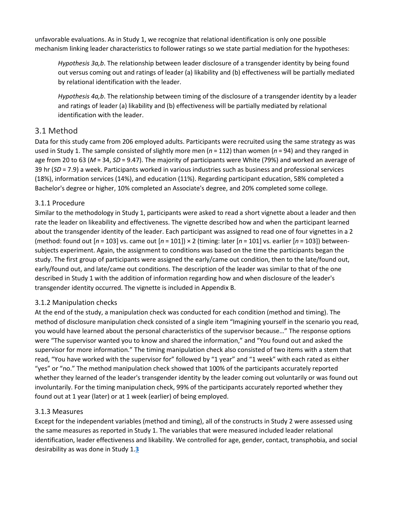unfavorable evaluations. As in Study 1, we recognize that relational identification is only one possible mechanism linking leader characteristics to follower ratings so we state partial mediation for the hypotheses:

*Hypothesis 3a,b*. The relationship between leader disclosure of a transgender identity by being found out versus coming out and ratings of leader (a) likability and (b) effectiveness will be partially mediated by relational identification with the leader.

*Hypothesis 4a,b*. The relationship between timing of the disclosure of a transgender identity by a leader and ratings of leader (a) likability and (b) effectiveness will be partially mediated by relational identification with the leader.

#### 3.1 Method

Data for this study came from 206 employed adults. Participants were recruited using the same strategy as was used in Study 1. The sample consisted of slightly more men (*n* = 112) than women (*n* = 94) and they ranged in age from 20 to 63 (*M* = 34, *SD* = 9.47). The majority of participants were White (79%) and worked an average of 39 hr (*SD* = 7.9) a week. Participants worked in various industries such as business and professional services (18%), information services (14%), and education (11%). Regarding participant education, 58% completed a Bachelor's degree or higher, 10% completed an Associate's degree, and 20% completed some college.

#### 3.1.1 Procedure

Similar to the methodology in Study 1, participants were asked to read a short vignette about a leader and then rate the leader on likeability and effectiveness. The vignette described how and when the participant learned about the transgender identity of the leader. Each participant was assigned to read one of four vignettes in a 2 (method: found out [*n* = 103] vs. came out [*n* = 101]) × 2 (timing: later [*n* = 101] vs. earlier [*n* = 103]) betweensubjects experiment. Again, the assignment to conditions was based on the time the participants began the study. The first group of participants were assigned the early/came out condition, then to the late/found out, early/found out, and late/came out conditions. The description of the leader was similar to that of the one described in Study 1 with the addition of information regarding how and when disclosure of the leader's transgender identity occurred. The vignette is included in Appendix B.

#### 3.1.2 Manipulation checks

At the end of the study, a manipulation check was conducted for each condition (method and timing). The method of disclosure manipulation check consisted of a single item "Imagining yourself in the scenario you read, you would have learned about the personal characteristics of the supervisor because…" The response options were "The supervisor wanted you to know and shared the information," and "You found out and asked the supervisor for more information." The timing manipulation check also consisted of two items with a stem that read, "You have worked with the supervisor for" followed by "1 year" and "1 week" with each rated as either "yes" or "no." The method manipulation check showed that 100% of the participants accurately reported whether they learned of the leader's transgender identity by the leader coming out voluntarily or was found out involuntarily. For the timing manipulation check, 99% of the participants accurately reported whether they found out at 1 year (later) or at 1 week (earlier) of being employed.

#### 3.1.3 Measures

Except for the independent variables (method and timing), all of the constructs in Study 2 were assessed using the same measures as reported in Study 1. The variables that were measured included leader relational identification, leader effectiveness and likability. We controlled for age, gender, contact, transphobia, and social desirability as was done in Study 1.**[3](https://onlinelibrary.wiley.com/doi/full/10.1111/jasp.12467#jasp12467-note-0011_177)**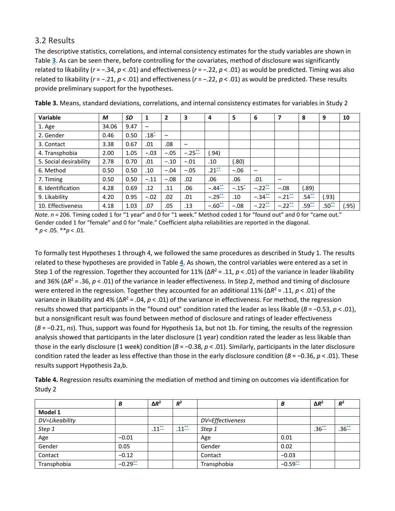#### 3.2 Results

The descriptive statistics, correlations, and internal consistency estimates for the study variables are shown in Table **[3](https://onlinelibrary.wiley.com/doi/full/10.1111/jasp.12467#jasp12467-tbl-0003)**. As can be seen there, before controlling for the covariates, method of disclosure was significantly related to likability (*r* = −.34, *p* < .01) and effectiveness (*r* = −.22, *p* < .01) as would be predicted. Timing was also related to likability (*r* = −.21, *p* < .01) and effectiveness (*r* = −.22, *p* < .01) as would be predicted. These results provide preliminary support for the hypotheses.

| <b>Variable</b>        | M     | SD   | 1                        | 2      | 3           | 4           | 5        | 6           | 7           | 8          | 9          | 10    |
|------------------------|-------|------|--------------------------|--------|-------------|-------------|----------|-------------|-------------|------------|------------|-------|
| 1. Age                 | 34.06 | 9.47 | $\overline{\phantom{0}}$ |        |             |             |          |             |             |            |            |       |
| 2. Gender              | 0.46  | 0.50 | $.18^{*}$                | —<br>— |             |             |          |             |             |            |            |       |
| 3. Contact             | 3.38  | 0.67 | .01                      | .08    |             |             |          |             |             |            |            |       |
| 4. Transphobia         | 2.00  | 1.05 | $-.03$                   | $-.05$ | $-.25^{**}$ | .94)        |          |             |             |            |            |       |
| 5. Social desirability | 2.78  | 0.70 | .01                      | $-.10$ | $-.01$      | .10         | (.80)    |             |             |            |            |       |
| 6. Method              | 0.50  | 0.50 | .10                      | $-.04$ | $-.05$      | $.21^{**}$  | $-.06$   |             |             |            |            |       |
| 7. Timing              | 0.50  | 0.50 | $-.11$                   | $-.08$ | .02         | .06         | .06      | .01         | -           |            |            |       |
| 8. Identification      | 4.28  | 0.69 | .12                      | .11    | .06         | $-.44$      | $-.15 -$ | $-.22^{**}$ | $-.08$      | (89.)      |            |       |
| 9. Likability          | 4.20  | 0.95 | $-.02$                   | .02    | .01         | $-.29^{**}$ | .10      | $-.34^{**}$ | $-.21^{**}$ | $.54^{**}$ | (0.93)     |       |
| 10. Effectiveness      | 4.18  | 1.03 | .07                      | .05    | .13         | $-.60^{**}$ | $-.08$   | $-.22^{**}$ | $-.22^{**}$ | $.59^{**}$ | $.50^{**}$ | (.95) |

**Table 3.** Means, standard deviations, correlations, and internal consistency estimates for variables in Study 2

*Note. n* = 206. Timing coded 1 for "1 year" and 0 for "1 week." Method coded 1 for "found out" and 0 for "came out." Gender coded 1 for "female" and 0 for "male." Coefficient alpha reliabilities are reported in the diagonal. \* *p* < .05. \*\**p* < .01.

To formally test Hypotheses 1 through 4, we followed the same procedures as described in Study 1. The results related to these hypotheses are provided in Table **[4](https://onlinelibrary.wiley.com/doi/full/10.1111/jasp.12467#jasp12467-tbl-0004)**. As shown, the control variables were entered as a set in Step 1 of the regression. Together they accounted for 11% (Δ $R^2$  = .11,  $p$  < .01) of the variance in leader likability and 36% (Δ*R*<sup>2</sup> = .36, *p* < .01) of the variance in leader effectiveness. In Step 2, method and timing of disclosure were entered in the regression. Together they accounted for an additional 11% (Δ*R*<sup>2</sup> = .11, *p* < .01) of the variance in likability and 4% (Δ*R*<sup>2</sup> = .04, *p* < .01) of the variance in effectiveness. For method, the regression results showed that participants in the "found out" condition rated the leader as less likable (*B* = −0.53, *p* < .01), but a nonsignificant result was found between method of disclosure and ratings of leader effectiveness (*B* = −0.21, *ns*). Thus, support was found for Hypothesis 1a, but not 1b. For timing, the results of the regression analysis showed that participants in the later disclosure (1 year) condition rated the leader as less likable than those in the early disclosure (1 week) condition (*B* = −0.38, *p* < .01). Similarly, participants in the later disclosure condition rated the leader as less effective than those in the early disclosure condition (*B* = −0.36, *p* < .01). These results support Hypothesis 2a,b.

**Table 4.** Regression results examining the mediation of method and timing on outcomes via identification for Study 2

|                | B            | $\Delta R^2$ | $R^2$      |                  | В       | $\Delta R^2$ | $R^2$      |
|----------------|--------------|--------------|------------|------------------|---------|--------------|------------|
| Model 1        |              |              |            |                  |         |              |            |
| DV=Likeability |              |              |            | DV=Effectiveness |         |              |            |
| Step 1         |              | $.11^{**}$   | $.11^{**}$ | Step 1           |         | $.36^{**}$   | $.36^{**}$ |
| Age            | $-0.01$      |              |            | Age              | 0.01    |              |            |
| Gender         | 0.05         |              |            | Gender           | 0.02    |              |            |
| Contact        | $-0.12$      |              |            | Contact          | $-0.03$ |              |            |
| Transphobia    | $-0.29^{**}$ |              |            | Transphobia      | $-0.59$ |              |            |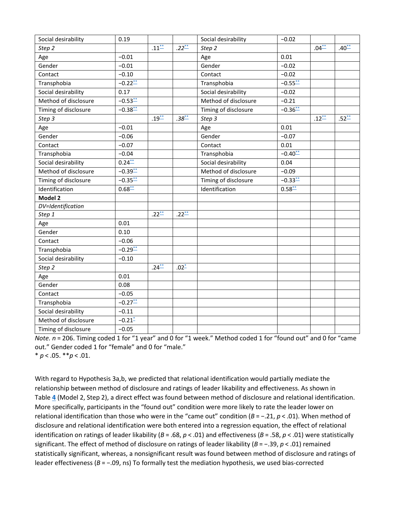| Social desirability  | 0.19         |            |            | Social desirability  | $-0.02$      |            |            |
|----------------------|--------------|------------|------------|----------------------|--------------|------------|------------|
| Step 2               |              | $.11***$   | $.22^{**}$ | Step 2               |              | $.04^{**}$ | $.40^{**}$ |
| Age                  | $-0.01$      |            |            | Age                  | 0.01         |            |            |
| Gender               | $-0.01$      |            |            | Gender               | $-0.02$      |            |            |
| Contact              | $-0.10$      |            |            | Contact              | $-0.02$      |            |            |
| Transphobia          | $-0.22^{**}$ |            |            | Transphobia          | $-0.55$      |            |            |
| Social desirability  | 0.17         |            |            | Social desirability  | $-0.02$      |            |            |
| Method of disclosure | $-0.53$      |            |            | Method of disclosure | $-0.21$      |            |            |
| Timing of disclosure | $-0.38$      |            |            | Timing of disclosure | $-0.36$      |            |            |
| Step 3               |              | $.19^{**}$ | $.38^{**}$ | Step 3               |              | $.12^{**}$ | $.52^{**}$ |
| Age                  | $-0.01$      |            |            | Age                  | 0.01         |            |            |
| Gender               | $-0.06$      |            |            | Gender               | $-0.07$      |            |            |
| Contact              | $-0.07$      |            |            | Contact              | 0.01         |            |            |
| Transphobia          | $-0.04$      |            |            | Transphobia          | $-0.40^{**}$ |            |            |
| Social desirability  | $0.24^{**}$  |            |            | Social desirability  | 0.04         |            |            |
| Method of disclosure | $-0.39$      |            |            | Method of disclosure | $-0.09$      |            |            |
| Timing of disclosure | $-0.35$      |            |            | Timing of disclosure | $-0.33$      |            |            |
| Identification       | 0.68         |            |            | Identification       | $0.58^{**}$  |            |            |
| Model 2              |              |            |            |                      |              |            |            |
| DV=Identification    |              |            |            |                      |              |            |            |
| Step 1               |              | $.22^{**}$ | $.22^{**}$ |                      |              |            |            |
| Age                  | 0.01         |            |            |                      |              |            |            |
| Gender               | 0.10         |            |            |                      |              |            |            |
| Contact              | $-0.06$      |            |            |                      |              |            |            |
| Transphobia          | $-0.29^{**}$ |            |            |                      |              |            |            |
| Social desirability  | $-0.10$      |            |            |                      |              |            |            |
| Step 2               |              | $.24^{**}$ | $.02^*$    |                      |              |            |            |
| Age                  | 0.01         |            |            |                      |              |            |            |
| Gender               | 0.08         |            |            |                      |              |            |            |
| Contact              | $-0.05$      |            |            |                      |              |            |            |
| Transphobia          | $-0.27^{**}$ |            |            |                      |              |            |            |
| Social desirability  | $-0.11$      |            |            |                      |              |            |            |
| Method of disclosure | $-0.21 -$    |            |            |                      |              |            |            |
| Timing of disclosure | $-0.05$      |            |            |                      |              |            |            |

*Note. n* = 206. Timing coded 1 for "1 year" and 0 for "1 week." Method coded 1 for "found out" and 0 for "came out." Gender coded 1 for "female" and 0 for "male." \* *p* < .05. \*\**p* < .01.

With regard to Hypothesis 3a,b, we predicted that relational identification would partially mediate the relationship between method of disclosure and ratings of leader likability and effectiveness. As shown in Table **[4](https://onlinelibrary.wiley.com/doi/full/10.1111/jasp.12467#jasp12467-tbl-0004)** (Model 2, Step 2), a direct effect was found between method of disclosure and relational identification. More specifically, participants in the "found out" condition were more likely to rate the leader lower on relational identification than those who were in the "came out" condition (*B* = −.21, *p* < .01). When method of disclosure and relational identification were both entered into a regression equation, the effect of relational identification on ratings of leader likability (*B* = .68, *p* < .01) and effectiveness (*B* = .58, *p* < .01) were statistically significant. The effect of method of disclosure on ratings of leader likability (*B* = −.39, *p* < .01) remained statistically significant, whereas, a nonsignificant result was found between method of disclosure and ratings of leader effectiveness (*B* = −.09, ns) To formally test the mediation hypothesis, we used bias‐corrected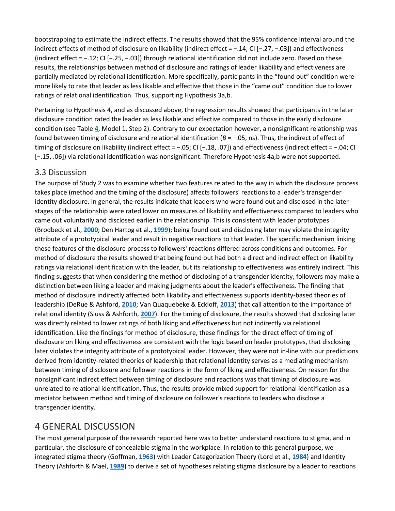bootstrapping to estimate the indirect effects. The results showed that the 95% confidence interval around the indirect effects of method of disclosure on likability (indirect effect = −.14; CI [−.27, −.03]) and effectiveness (indirect effect = −.12; CI [−.25, −.03]) through relational identification did not include zero. Based on these results, the relationships between method of disclosure and ratings of leader likability and effectiveness are partially mediated by relational identification. More specifically, participants in the "found out" condition were more likely to rate that leader as less likable and effective that those in the "came out" condition due to lower ratings of relational identification. Thus, supporting Hypothesis 3a,b.

Pertaining to Hypothesis 4, and as discussed above, the regression results showed that participants in the later disclosure condition rated the leader as less likable and effective compared to those in the early disclosure condition (see Table **[4](https://onlinelibrary.wiley.com/doi/full/10.1111/jasp.12467#jasp12467-tbl-0004)**, Model 1, Step 2). Contrary to our expectation however, a nonsignificant relationship was found between timing of disclosure and relational identification (*B* = −.05, ns). Thus, the indirect of effect of timing of disclosure on likability (indirect effect = −.05; CI [−.18, .07]) and effectiveness (indirect effect = −.04; CI [−.15, .06]) via relational identification was nonsignificant. Therefore Hypothesis 4a,b were not supported.

#### 3.3 Discussion

The purpose of Study 2 was to examine whether two features related to the way in which the disclosure process takes place (method and the timing of the disclosure) affects followers' reactions to a leader's transgender identity disclosure. In general, the results indicate that leaders who were found out and disclosed in the later stages of the relationship were rated lower on measures of likability and effectiveness compared to leaders who came out voluntarily and disclosed earlier in the relationship. This is consistent with leader prototypes (Brodbeck et al., **[2000](https://onlinelibrary.wiley.com/doi/full/10.1111/jasp.12467#jasp12467-bib-0010)**; Den Hartog et al., **[1999](https://onlinelibrary.wiley.com/doi/full/10.1111/jasp.12467#jasp12467-bib-0018)**); being found out and disclosing later may violate the integrity attribute of a prototypical leader and result in negative reactions to that leader. The specific mechanism linking these features of the disclosure process to followers' reactions differed across conditions and outcomes. For method of disclosure the results showed that being found out had both a direct and indirect effect on likability ratings via relational identification with the leader, but its relationship to effectiveness was entirely indirect. This finding suggests that when considering the method of disclosing of a transgender identity, followers may make a distinction between liking a leader and making judgments about the leader's effectiveness. The finding that method of disclosure indirectly affected both likability and effectiveness supports identity-based theories of leadership (DeRue & Ashford, **[2010](https://onlinelibrary.wiley.com/doi/full/10.1111/jasp.12467#jasp12467-bib-0019)**; Van Quaquebeke & Eckloff, **[2013](https://onlinelibrary.wiley.com/doi/full/10.1111/jasp.12467#jasp12467-bib-0092)**) that call attention to the importance of relational identity (Sluss & Ashforth, **[2007](https://onlinelibrary.wiley.com/doi/full/10.1111/jasp.12467#jasp12467-bib-0087)**). For the timing of disclosure, the results showed that disclosing later was directly related to lower ratings of both liking and effectiveness but not indirectly via relational identification. Like the findings for method of disclosure, these findings for the direct effect of timing of disclosure on liking and effectiveness are consistent with the logic based on leader prototypes, that disclosing later violates the integrity attribute of a prototypical leader. However, they were not in-line with our predictions derived from identity-related theories of leadership that relational identity serves as a mediating mechanism between timing of disclosure and follower reactions in the form of liking and effectiveness. On reason for the nonsignificant indirect effect between timing of disclosure and reactions was that timing of disclosure was unrelated to relational identification. Thus, the results provide mixed support for relational identification as a mediator between method and timing of disclosure on follower's reactions to leaders who disclose a transgender identity.

#### 4 GENERAL DISCUSSION

The most general purpose of the research reported here was to better understand reactions to stigma, and in particular, the disclosure of concealable stigma in the workplace. In relation to this general purpose, we integrated stigma theory (Goffman, **[1963](https://onlinelibrary.wiley.com/doi/full/10.1111/jasp.12467#jasp12467-bib-0030)**) with Leader Categorization Theory (Lord et al., **[1984](https://onlinelibrary.wiley.com/doi/full/10.1111/jasp.12467#jasp12467-bib-0060)**) and Identity Theory (Ashforth & Mael, **[1989](https://onlinelibrary.wiley.com/doi/full/10.1111/jasp.12467#jasp12467-bib-0003)**) to derive a set of hypotheses relating stigma disclosure by a leader to reactions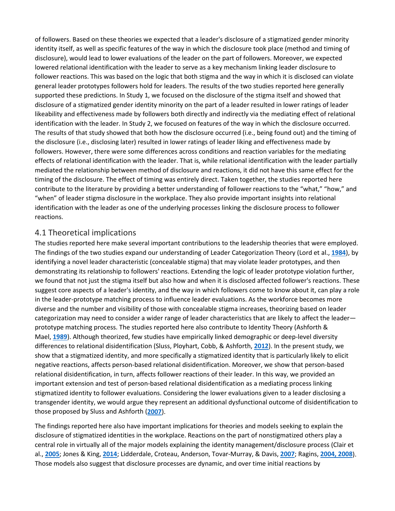of followers. Based on these theories we expected that a leader's disclosure of a stigmatized gender minority identity itself, as well as specific features of the way in which the disclosure took place (method and timing of disclosure), would lead to lower evaluations of the leader on the part of followers. Moreover, we expected lowered relational identification with the leader to serve as a key mechanism linking leader disclosure to follower reactions. This was based on the logic that both stigma and the way in which it is disclosed can violate general leader prototypes followers hold for leaders. The results of the two studies reported here generally supported these predictions. In Study 1, we focused on the disclosure of the stigma itself and showed that disclosure of a stigmatized gender identity minority on the part of a leader resulted in lower ratings of leader likeability and effectiveness made by followers both directly and indirectly via the mediating effect of relational identification with the leader. In Study 2, we focused on features of the way in which the disclosure occurred. The results of that study showed that both how the disclosure occurred (i.e., being found out) and the timing of the disclosure (i.e., disclosing later) resulted in lower ratings of leader liking and effectiveness made by followers. However, there were some differences across conditions and reaction variables for the mediating effects of relational identification with the leader. That is, while relational identification with the leader partially mediated the relationship between method of disclosure and reactions, it did not have this same effect for the timing of the disclosure. The effect of timing was entirely direct. Taken together, the studies reported here contribute to the literature by providing a better understanding of follower reactions to the "what," "how," and "when" of leader stigma disclosure in the workplace. They also provide important insights into relational identification with the leader as one of the underlying processes linking the disclosure process to follower reactions.

#### 4.1 Theoretical implications

The studies reported here make several important contributions to the leadership theories that were employed. The findings of the two studies expand our understanding of Leader Categorization Theory (Lord et al., **[1984](https://onlinelibrary.wiley.com/doi/full/10.1111/jasp.12467#jasp12467-bib-0060)**), by identifying a novel leader characteristic (concealable stigma) that may violate leader prototypes, and then demonstrating its relationship to followers' reactions. Extending the logic of leader prototype violation further, we found that not just the stigma itself but also how and when it is disclosed affected follower's reactions. These suggest core aspects of a leader's identity, and the way in which followers come to know about it, can play a role in the leader-prototype matching process to influence leader evaluations. As the workforce becomes more diverse and the number and visibility of those with concealable stigma increases, theorizing based on leader categorization may need to consider a wider range of leader characteristics that are likely to affect the leader prototype matching process. The studies reported here also contribute to Identity Theory (Ashforth & Mael, **[1989](https://onlinelibrary.wiley.com/doi/full/10.1111/jasp.12467#jasp12467-bib-0003)**). Although theorized, few studies have empirically linked demographic or deep-level diversity differences to relational disidentification (Sluss, Ployhart, Cobb, & Ashforth, **[2012](https://onlinelibrary.wiley.com/doi/full/10.1111/jasp.12467#jasp12467-bib-1003)**). In the present study, we show that a stigmatized identity, and more specifically a stigmatized identity that is particularly likely to elicit negative reactions, affects person-based relational disidentification. Moreover, we show that person-based relational disidentification, in turn, affects follower reactions of their leader. In this way, we provided an important extension and test of person-based relational disidentification as a mediating process linking stigmatized identity to follower evaluations. Considering the lower evaluations given to a leader disclosing a transgender identity, we would argue they represent an additional dysfunctional outcome of disidentification to those proposed by Sluss and Ashforth (**[2007](https://onlinelibrary.wiley.com/doi/full/10.1111/jasp.12467#jasp12467-bib-0087)**).

The findings reported here also have important implications for theories and models seeking to explain the disclosure of stigmatized identities in the workplace. Reactions on the part of nonstigmatized others play a central role in virtually all of the major models explaining the identity management/disclosure process (Clair et al., **[2005](https://onlinelibrary.wiley.com/doi/full/10.1111/jasp.12467#jasp12467-bib-0016)**; Jones & King, **[2014](https://onlinelibrary.wiley.com/doi/full/10.1111/jasp.12467#jasp12467-bib-0045)**; Lidderdale, Croteau, Anderson, Tovar-Murray, & Davis, **[2007](https://onlinelibrary.wiley.com/doi/full/10.1111/jasp.12467#jasp12467-bib-0058)**; Ragins, **[2004,](https://onlinelibrary.wiley.com/doi/full/10.1111/jasp.12467#jasp12467-bib-0076) [2008](https://onlinelibrary.wiley.com/doi/full/10.1111/jasp.12467#jasp12467-bib-0077)**). Those models also suggest that disclosure processes are dynamic, and over time initial reactions by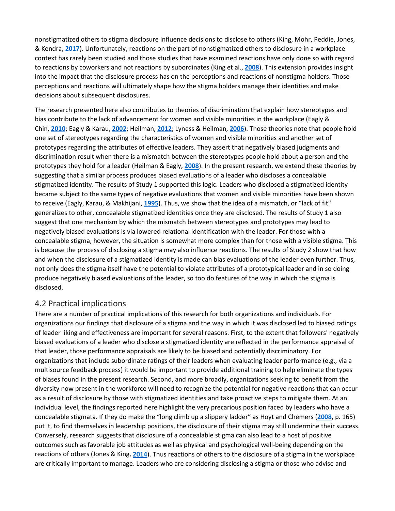nonstigmatized others to stigma disclosure influence decisions to disclose to others (King, Mohr, Peddie, Jones, & Kendra, **[2017](https://onlinelibrary.wiley.com/doi/full/10.1111/jasp.12467#jasp12467-bib-1006)**). Unfortunately, reactions on the part of nonstigmatized others to disclosure in a workplace context has rarely been studied and those studies that have examined reactions have only done so with regard to reactions by coworkers and not reactions by subordinates (King et al., **[2008](https://onlinelibrary.wiley.com/doi/full/10.1111/jasp.12467#jasp12467-bib-0050)**). This extension provides insight into the impact that the disclosure process has on the perceptions and reactions of nonstigma holders. Those perceptions and reactions will ultimately shape how the stigma holders manage their identities and make decisions about subsequent disclosures.

The research presented here also contributes to theories of discrimination that explain how stereotypes and bias contribute to the lack of advancement for women and visible minorities in the workplace (Eagly & Chin, **[2010](https://onlinelibrary.wiley.com/doi/full/10.1111/jasp.12467#jasp12467-bib-0022)**; Eagly & Karau, **[2002](https://onlinelibrary.wiley.com/doi/full/10.1111/jasp.12467#jasp12467-bib-0023)**; Heilman, **[2012](https://onlinelibrary.wiley.com/doi/full/10.1111/jasp.12467#jasp12467-bib-1005)**; Lyness & Heilman, **[2006](https://onlinelibrary.wiley.com/doi/full/10.1111/jasp.12467#jasp12467-bib-1004)**). Those theories note that people hold one set of stereotypes regarding the characteristics of women and visible minorities and another set of prototypes regarding the attributes of effective leaders. They assert that negatively biased judgments and discrimination result when there is a mismatch between the stereotypes people hold about a person and the prototypes they hold for a leader (Heilman & Eagly, **[2008](https://onlinelibrary.wiley.com/doi/full/10.1111/jasp.12467#jasp12467-bib-0037)**). In the present research, we extend these theories by suggesting that a similar process produces biased evaluations of a leader who discloses a concealable stigmatized identity. The results of Study 1 supported this logic. Leaders who disclosed a stigmatized identity became subject to the same types of negative evaluations that women and visible minorities have been shown to receive (Eagly, Karau, & Makhijani, **[1995](https://onlinelibrary.wiley.com/doi/full/10.1111/jasp.12467#jasp12467-bib-0024)**). Thus, we show that the idea of a mismatch, or "lack of fit" generalizes to other, concealable stigmatized identities once they are disclosed. The results of Study 1 also suggest that one mechanism by which the mismatch between stereotypes and prototypes may lead to negatively biased evaluations is via lowered relational identification with the leader. For those with a concealable stigma, however, the situation is somewhat more complex than for those with a visible stigma. This is because the process of disclosing a stigma may also influence reactions. The results of Study 2 show that how and when the disclosure of a stigmatized identity is made can bias evaluations of the leader even further. Thus, not only does the stigma itself have the potential to violate attributes of a prototypical leader and in so doing produce negatively biased evaluations of the leader, so too do features of the way in which the stigma is disclosed.

#### 4.2 Practical implications

There are a number of practical implications of this research for both organizations and individuals. For organizations our findings that disclosure of a stigma and the way in which it was disclosed led to biased ratings of leader liking and effectiveness are important for several reasons. First, to the extent that followers' negatively biased evaluations of a leader who disclose a stigmatized identity are reflected in the performance appraisal of that leader, those performance appraisals are likely to be biased and potentially discriminatory. For organizations that include subordinate ratings of their leaders when evaluating leader performance (e.g., via a multisource feedback process) it would be important to provide additional training to help eliminate the types of biases found in the present research. Second, and more broadly, organizations seeking to benefit from the diversity now present in the workforce will need to recognize the potential for negative reactions that can occur as a result of disclosure by those with stigmatized identities and take proactive steps to mitigate them. At an individual level, the findings reported here highlight the very precarious position faced by leaders who have a concealable stigmata. If they do make the "long climb up a slippery ladder" as Hoyt and Chemers (**[2008](https://onlinelibrary.wiley.com/doi/full/10.1111/jasp.12467#jasp12467-bib-0042)**, p. 165) put it, to find themselves in leadership positions, the disclosure of their stigma may still undermine their success. Conversely, research suggests that disclosure of a concealable stigma can also lead to a host of positive outcomes such as favorable job attitudes as well as physical and psychological well-being depending on the reactions of others (Jones & King, **[2014](https://onlinelibrary.wiley.com/doi/full/10.1111/jasp.12467#jasp12467-bib-0045)**). Thus reactions of others to the disclosure of a stigma in the workplace are critically important to manage. Leaders who are considering disclosing a stigma or those who advise and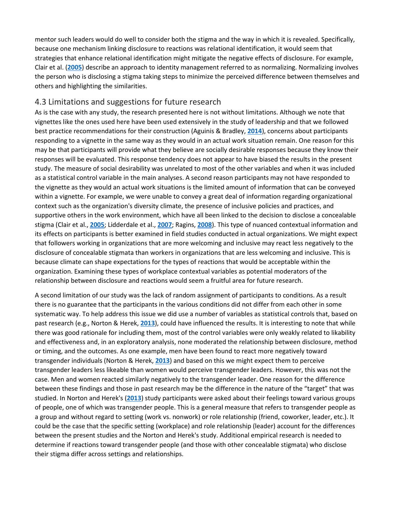mentor such leaders would do well to consider both the stigma and the way in which it is revealed. Specifically, because one mechanism linking disclosure to reactions was relational identification, it would seem that strategies that enhance relational identification might mitigate the negative effects of disclosure. For example, Clair et al. (**[2005](https://onlinelibrary.wiley.com/doi/full/10.1111/jasp.12467#jasp12467-bib-0016)**) describe an approach to identity management referred to as normalizing. Normalizing involves the person who is disclosing a stigma taking steps to minimize the perceived difference between themselves and others and highlighting the similarities.

#### 4.3 Limitations and suggestions for future research

As is the case with any study, the research presented here is not without limitations. Although we note that vignettes like the ones used here have been used extensively in the study of leadership and that we followed best practice recommendations for their construction (Aguinis & Bradley, **[2014](https://onlinelibrary.wiley.com/doi/full/10.1111/jasp.12467#jasp12467-bib-0001)**), concerns about participants responding to a vignette in the same way as they would in an actual work situation remain. One reason for this may be that participants will provide what they believe are socially desirable responses because they know their responses will be evaluated. This response tendency does not appear to have biased the results in the present study. The measure of social desirability was unrelated to most of the other variables and when it was included as a statistical control variable in the main analyses. A second reason participants may not have responded to the vignette as they would an actual work situations is the limited amount of information that can be conveyed within a vignette. For example, we were unable to convey a great deal of information regarding organizational context such as the organization's diversity climate, the presence of inclusive policies and practices, and supportive others in the work environment, which have all been linked to the decision to disclose a concealable stigma (Clair et al., **[2005](https://onlinelibrary.wiley.com/doi/full/10.1111/jasp.12467#jasp12467-bib-0016)**; Lidderdale et al., **[2007](https://onlinelibrary.wiley.com/doi/full/10.1111/jasp.12467#jasp12467-bib-0058)**; Ragins, **[2008](https://onlinelibrary.wiley.com/doi/full/10.1111/jasp.12467#jasp12467-bib-0077)**). This type of nuanced contextual information and its effects on participants is better examined in field studies conducted in actual organizations. We might expect that followers working in organizations that are more welcoming and inclusive may react less negatively to the disclosure of concealable stigmata than workers in organizations that are less welcoming and inclusive. This is because climate can shape expectations for the types of reactions that would be acceptable within the organization. Examining these types of workplace contextual variables as potential moderators of the relationship between disclosure and reactions would seem a fruitful area for future research.

A second limitation of our study was the lack of random assignment of participants to conditions. As a result there is no guarantee that the participants in the various conditions did not differ from each other in some systematic way. To help address this issue we did use a number of variables as statistical controls that, based on past research (e.g., Norton & Herek, **[2013](https://onlinelibrary.wiley.com/doi/full/10.1111/jasp.12467#jasp12467-bib-0066)**), could have influenced the results. It is interesting to note that while there was good rationale for including them, most of the control variables were only weakly related to likability and effectiveness and, in an exploratory analysis, none moderated the relationship between disclosure, method or timing, and the outcomes. As one example, men have been found to react more negatively toward transgender individuals (Norton & Herek, **[2013](https://onlinelibrary.wiley.com/doi/full/10.1111/jasp.12467#jasp12467-bib-0066)**) and based on this we might expect them to perceive transgender leaders less likeable than women would perceive transgender leaders. However, this was not the case. Men and women reacted similarly negatively to the transgender leader. One reason for the difference between these findings and those in past research may be the difference in the nature of the "target" that was studied. In Norton and Herek's (**[2013](https://onlinelibrary.wiley.com/doi/full/10.1111/jasp.12467#jasp12467-bib-0066)**) study participants were asked about their feelings toward various groups of people, one of which was transgender people. This is a general measure that refers to transgender people as a group and without regard to setting (work vs. nonwork) or role relationship (friend, coworker, leader, etc.). It could be the case that the specific setting (workplace) and role relationship (leader) account for the differences between the present studies and the Norton and Herek's study. Additional empirical research is needed to determine if reactions toward transgender people (and those with other concealable stigmata) who disclose their stigma differ across settings and relationships.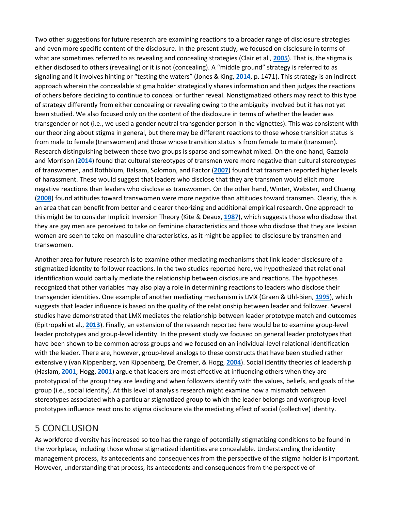Two other suggestions for future research are examining reactions to a broader range of disclosure strategies and even more specific content of the disclosure. In the present study, we focused on disclosure in terms of what are sometimes referred to as revealing and concealing strategies (Clair et al., **[2005](https://onlinelibrary.wiley.com/doi/full/10.1111/jasp.12467#jasp12467-bib-0016)**). That is, the stigma is either disclosed to others (revealing) or it is not (concealing). A "middle ground" strategy is referred to as signaling and it involves hinting or "testing the waters" (Jones & King, **[2014](https://onlinelibrary.wiley.com/doi/full/10.1111/jasp.12467#jasp12467-bib-0045)**, p. 1471). This strategy is an indirect approach wherein the concealable stigma holder strategically shares information and then judges the reactions of others before deciding to continue to conceal or further reveal. Nonstigmatized others may react to this type of strategy differently from either concealing or revealing owing to the ambiguity involved but it has not yet been studied. We also focused only on the content of the disclosure in terms of whether the leader was transgender or not (i.e., we used a gender neutral transgender person in the vignettes). This was consistent with our theorizing about stigma in general, but there may be different reactions to those whose transition status is from male to female (transwomen) and those whose transition status is from female to male (transmen). Research distinguishing between these two groups is sparse and somewhat mixed. On the one hand, Gazzola and Morrison (**[2014](https://onlinelibrary.wiley.com/doi/full/10.1111/jasp.12467#jasp12467-bib-1007)**) found that cultural stereotypes of transmen were more negative than cultural stereotypes of transwomen, and Rothblum, Balsam, Solomon, and Factor (**[2007](https://onlinelibrary.wiley.com/doi/full/10.1111/jasp.12467#jasp12467-bib-1009)**) found that transmen reported higher levels of harassment. These would suggest that leaders who disclose that they are transmen would elicit more negative reactions than leaders who disclose as transwomen. On the other hand, Winter, Webster, and Chueng (**[2008](https://onlinelibrary.wiley.com/doi/full/10.1111/jasp.12467#jasp12467-bib-1001)**) found attitudes toward transwomen were more negative than attitudes toward transmen. Clearly, this is an area that can benefit from better and clearer theorizing and additional empirical research. One approach to this might be to consider Implicit Inversion Theory (Kite & Deaux, **[1987](https://onlinelibrary.wiley.com/doi/full/10.1111/jasp.12467#jasp12467-bib-0052)**), which suggests those who disclose that they are gay men are perceived to take on feminine characteristics and those who disclose that they are lesbian women are seen to take on masculine characteristics, as it might be applied to disclosure by transmen and transwomen.

Another area for future research is to examine other mediating mechanisms that link leader disclosure of a stigmatized identity to follower reactions. In the two studies reported here, we hypothesized that relational identification would partially mediate the relationship between disclosure and reactions. The hypotheses recognized that other variables may also play a role in determining reactions to leaders who disclose their transgender identities. One example of another mediating mechanism is LMX (Graen & Uhl-Bien, **[1995](https://onlinelibrary.wiley.com/doi/full/10.1111/jasp.12467#jasp12467-bib-0032)**), which suggests that leader influence is based on the quality of the relationship between leader and follower. Several studies have demonstrated that LMX mediates the relationship between leader prototype match and outcomes (Epitropaki et al., **[2013](https://onlinelibrary.wiley.com/doi/full/10.1111/jasp.12467#jasp12467-bib-0028)**). Finally, an extension of the research reported here would be to examine group-level leader prototypes and group-level identity. In the present study we focused on general leader prototypes that have been shown to be common across groups and we focused on an individual-level relational identification with the leader. There are, however, group-level analogs to these constructs that have been studied rather extensively (van Kippenberg, van Kippenberg, De Cremer, & Hogg, **[2004](https://onlinelibrary.wiley.com/doi/full/10.1111/jasp.12467#jasp12467-bib-0091)**). Social identity theories of leadership (Haslam, **[2001](https://onlinelibrary.wiley.com/doi/full/10.1111/jasp.12467#jasp12467-bib-0034)**; Hogg, **[2001](https://onlinelibrary.wiley.com/doi/full/10.1111/jasp.12467#jasp12467-bib-0041)**) argue that leaders are most effective at influencing others when they are prototypical of the group they are leading and when followers identify with the values, beliefs, and goals of the group (i.e., social identity). At this level of analysis research might examine how a mismatch between stereotypes associated with a particular stigmatized group to which the leader belongs and workgroup-level prototypes influence reactions to stigma disclosure via the mediating effect of social (collective) identity.

## 5 CONCLUSION

As workforce diversity has increased so too has the range of potentially stigmatizing conditions to be found in the workplace, including those whose stigmatized identities are concealable. Understanding the identity management process, its antecedents and consequences from the perspective of the stigma holder is important. However, understanding that process, its antecedents and consequences from the perspective of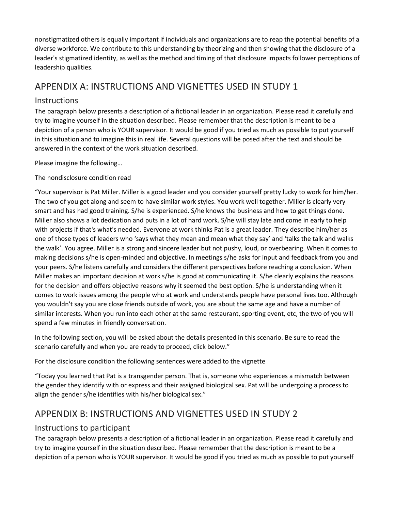nonstigmatized others is equally important if individuals and organizations are to reap the potential benefits of a diverse workforce. We contribute to this understanding by theorizing and then showing that the disclosure of a leader's stigmatized identity, as well as the method and timing of that disclosure impacts follower perceptions of leadership qualities.

## APPENDIX A: INSTRUCTIONS AND VIGNETTES USED IN STUDY 1

#### **Instructions**

The paragraph below presents a description of a fictional leader in an organization. Please read it carefully and try to imagine yourself in the situation described. Please remember that the description is meant to be a depiction of a person who is YOUR supervisor. It would be good if you tried as much as possible to put yourself in this situation and to imagine this in real life. Several questions will be posed after the text and should be answered in the context of the work situation described.

Please imagine the following…

#### The nondisclosure condition read

"Your supervisor is Pat Miller. Miller is a good leader and you consider yourself pretty lucky to work for him/her. The two of you get along and seem to have similar work styles. You work well together. Miller is clearly very smart and has had good training. S/he is experienced. S/he knows the business and how to get things done. Miller also shows a lot dedication and puts in a lot of hard work. S/he will stay late and come in early to help with projects if that's what's needed. Everyone at work thinks Pat is a great leader. They describe him/her as one of those types of leaders who 'says what they mean and mean what they say' and 'talks the talk and walks the walk'. You agree. Miller is a strong and sincere leader but not pushy, loud, or overbearing. When it comes to making decisions s/he is open-minded and objective. In meetings s/he asks for input and feedback from you and your peers. S/he listens carefully and considers the different perspectives before reaching a conclusion. When Miller makes an important decision at work s/he is good at communicating it. S/he clearly explains the reasons for the decision and offers objective reasons why it seemed the best option. S/he is understanding when it comes to work issues among the people who at work and understands people have personal lives too. Although you wouldn't say you are close friends outside of work, you are about the same age and have a number of similar interests. When you run into each other at the same restaurant, sporting event, etc, the two of you will spend a few minutes in friendly conversation.

In the following section, you will be asked about the details presented in this scenario. Be sure to read the scenario carefully and when you are ready to proceed, click below."

For the disclosure condition the following sentences were added to the vignette

"Today you learned that Pat is a transgender person. That is, someone who experiences a mismatch between the gender they identify with or express and their assigned biological sex. Pat will be undergoing a process to align the gender s/he identifies with his/her biological sex."

## APPENDIX B: INSTRUCTIONS AND VIGNETTES USED IN STUDY 2

#### Instructions to participant

The paragraph below presents a description of a fictional leader in an organization. Please read it carefully and try to imagine yourself in the situation described. Please remember that the description is meant to be a depiction of a person who is YOUR supervisor. It would be good if you tried as much as possible to put yourself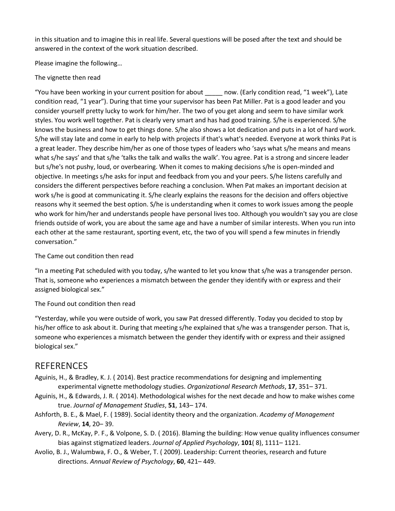in this situation and to imagine this in real life. Several questions will be posed after the text and should be answered in the context of the work situation described.

Please imagine the following…

#### The vignette then read

"You have been working in your current position for about \_\_\_\_\_ now. (Early condition read, "1 week"), Late condition read, "1 year"). During that time your supervisor has been Pat Miller. Pat is a good leader and you consider yourself pretty lucky to work for him/her. The two of you get along and seem to have similar work styles. You work well together. Pat is clearly very smart and has had good training. S/he is experienced. S/he knows the business and how to get things done. S/he also shows a lot dedication and puts in a lot of hard work. S/he will stay late and come in early to help with projects if that's what's needed. Everyone at work thinks Pat is a great leader. They describe him/her as one of those types of leaders who 'says what s/he means and means what s/he says' and that s/he 'talks the talk and walks the walk'. You agree. Pat is a strong and sincere leader but s/he's not pushy, loud, or overbearing. When it comes to making decisions s/he is open-minded and objective. In meetings s/he asks for input and feedback from you and your peers. S/he listens carefully and considers the different perspectives before reaching a conclusion. When Pat makes an important decision at work s/he is good at communicating it. S/he clearly explains the reasons for the decision and offers objective reasons why it seemed the best option. S/he is understanding when it comes to work issues among the people who work for him/her and understands people have personal lives too. Although you wouldn't say you are close friends outside of work, you are about the same age and have a number of similar interests. When you run into each other at the same restaurant, sporting event, etc, the two of you will spend a few minutes in friendly conversation."

#### The Came out condition then read

"In a meeting Pat scheduled with you today, s/he wanted to let you know that s/he was a transgender person. That is, someone who experiences a mismatch between the gender they identify with or express and their assigned biological sex."

#### The Found out condition then read

"Yesterday, while you were outside of work, you saw Pat dressed differently. Today you decided to stop by his/her office to ask about it. During that meeting s/he explained that s/he was a transgender person. That is, someone who experiences a mismatch between the gender they identify with or express and their assigned biological sex."

#### REFERENCES

- Aguinis, H., & Bradley, K. J. ( 2014). Best practice recommendations for designing and implementing experimental vignette methodology studies. *Organizational Research Methods*, **17**, 351– 371.
- Aguinis, H., & Edwards, J. R. ( 2014). Methodological wishes for the next decade and how to make wishes come true. *Journal of Management Studies*, **51**, 143– 174.
- Ashforth, B. E., & Mael, F. ( 1989). Social identity theory and the organization. *Academy of Management Review*, **14**, 20– 39.
- Avery, D. R., McKay, P. F., & Volpone, S. D. ( 2016). Blaming the building: How venue quality influences consumer bias against stigmatized leaders. *Journal of Applied Psychology*, **101**( 8), 1111– 1121.
- Avolio, B. J., Walumbwa, F. O., & Weber, T. ( 2009). Leadership: Current theories, research and future directions. *Annual Review of Psychology*, **60**, 421– 449.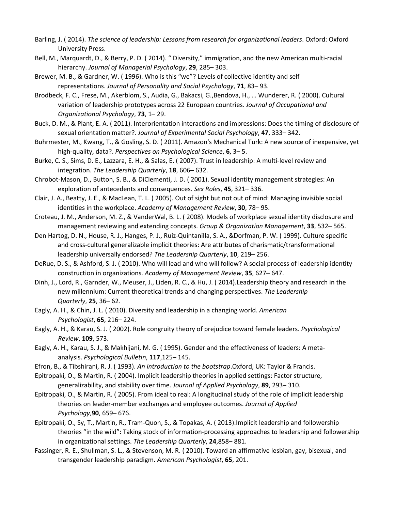- Barling, J. ( 2014). *The science of leadership: Lessons from research for organizational leaders*. Oxford: Oxford University Press.
- Bell, M., Marquardt, D., & Berry, P. D. ( 2014). " Diversity," immigration, and the new American multi-racial hierarchy. *Journal of Managerial Psychology*, **29**, 285– 303.
- Brewer, M. B., & Gardner, W. ( 1996). Who is this "we"? Levels of collective identity and self representations. *Journal of Personality and Social Psychology*, **71**, 83– 93.
- Brodbeck, F. C., Frese, M., Akerblom, S., Audia, G., Bakacsi, G.,Bendova, H., … Wunderer, R. ( 2000). Cultural variation of leadership prototypes across 22 European countries. *Journal of Occupational and Organizational Psychology*, **73**, 1– 29.
- Buck, D. M., & Plant, E. A. ( 2011). Interorientation interactions and impressions: Does the timing of disclosure of sexual orientation matter?. *Journal of Experimental Social Psychology*, **47**, 333– 342.
- Buhrmester, M., Kwang, T., & Gosling, S. D. ( 2011). Amazon's Mechanical Turk: A new source of inexpensive, yet high-quality, data?. *Perspectives on Psychological Science*, **6**, 3– 5.
- Burke, C. S., Sims, D. E., Lazzara, E. H., & Salas, E. ( 2007). Trust in leadership: A multi-level review and integration. *The Leadership Quarterly*, **18**, 606– 632.
- Chrobot-Mason, D., Button, S. B., & DiClementi, J. D. ( 2001). Sexual identity management strategies: An exploration of antecedents and consequences. *Sex Roles*, **45**, 321– 336.
- Clair, J. A., Beatty, J. E., & MacLean, T. L. ( 2005). Out of sight but not out of mind: Managing invisible social identities in the workplace. *Academy of Management Review*, **30**, 78– 95.
- Croteau, J. M., Anderson, M. Z., & VanderWal, B. L. ( 2008). Models of workplace sexual identity disclosure and management reviewing and extending concepts. *Group & Organization Management*, **33**, 532– 565.
- Den Hartog, D. N., House, R. J., Hanges, P. J., Ruiz-Quintanilla, S. A., &Dorfman, P. W. ( 1999). Culture specific and cross-cultural generalizable implicit theories: Are attributes of charismatic/transformational leadership universally endorsed? *The Leadership Quarterly*, **10**, 219– 256.
- DeRue, D. S., & Ashford, S. J. ( 2010). Who will lead and who will follow? A social process of leadership identity construction in organizations. *Academy of Management Review*, **35**, 627– 647.
- Dinh, J., Lord, R., Garnder, W., Meuser, J., Liden, R. C., & Hu, J. ( 2014).Leadership theory and research in the new millennium: Current theoretical trends and changing perspectives. *The Leadership Quarterly*, **25**, 36– 62.
- Eagly, A. H., & Chin, J. L. ( 2010). Diversity and leadership in a changing world. *American Psychologist*, **65**, 216– 224.
- Eagly, A. H., & Karau, S. J. ( 2002). Role congruity theory of prejudice toward female leaders. *Psychological Review*, **109**, 573.
- Eagly, A. H., Karau, S. J., & Makhijani, M. G. ( 1995). Gender and the effectiveness of leaders: A metaanalysis. *Psychological Bulletin*, **117**,125– 145.
- Efron, B., & Tibshirani, R. J. ( 1993). *An introduction to the bootstrap*.Oxford, UK: Taylor & Francis.
- Epitropaki, O., & Martin, R. ( 2004). Implicit leadership theories in applied settings: Factor structure, generalizability, and stability over time. *Journal of Applied Psychology*, **89**, 293– 310.
- Epitropaki, O., & Martin, R. ( 2005). From ideal to real: A longitudinal study of the role of implicit leadership theories on leader-member exchanges and employee outcomes. *Journal of Applied Psychology*,**90**, 659– 676.
- Epitropaki, O., Sy, T., Martin, R., Tram-Quon, S., & Topakas, A. ( 2013).Implicit leadership and followership theories "in the wild": Taking stock of information-processing approaches to leadership and followership in organizational settings. *The Leadership Quarterly*, **24**,858– 881.
- Fassinger, R. E., Shullman, S. L., & Stevenson, M. R. ( 2010). Toward an affirmative lesbian, gay, bisexual, and transgender leadership paradigm. *American Psychologist*, **65**, 201.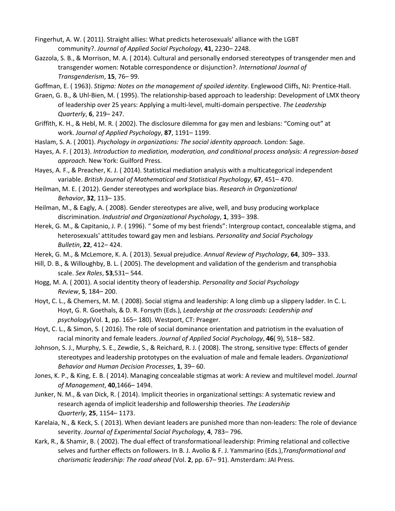- Fingerhut, A. W. ( 2011). Straight allies: What predicts heterosexuals' alliance with the LGBT community?. *Journal of Applied Social Psychology*, **41**, 2230– 2248.
- Gazzola, S. B., & Morrison, M. A. ( 2014). Cultural and personally endorsed stereotypes of transgender men and transgender women: Notable correspondence or disjunction?. *International Journal of Transgenderism*, **15**, 76– 99.

Goffman, E. ( 1963). *Stigma: Notes on the management of spoiled identity*. Englewood Cliffs, NJ: Prentice-Hall.

- Graen, G. B., & Uhl-Bien, M. ( 1995). The relationship-based approach to leadership: Development of LMX theory of leadership over 25 years: Applying a multi-level, multi-domain perspective. *The Leadership Quarterly*, **6**, 219– 247.
- Griffith, K. H., & Hebl, M. R. ( 2002). The disclosure dilemma for gay men and lesbians: "Coming out" at work. *Journal of Applied Psychology*, **87**, 1191– 1199.
- Haslam, S. A. ( 2001). *Psychology in organizations: The social identity approach*. London: Sage.
- Hayes, A. F. ( 2013). *Introduction to mediation, moderation, and conditional process analysis: A regression‐based approach*. New York: Guilford Press.
- Hayes, A. F., & Preacher, K. J. ( 2014). Statistical mediation analysis with a multicategorical independent variable. *British Journal of Mathematical and Statistical Psychology*, **67**, 451– 470.
- Heilman, M. E. ( 2012). Gender stereotypes and workplace bias. *Research in Organizational Behavior*, **32**, 113– 135.
- Heilman, M., & Eagly, A. ( 2008). Gender stereotypes are alive, well, and busy producing workplace discrimination. *Industrial and Organizational Psychology*, **1**, 393– 398.
- Herek, G. M., & Capitanio, J. P. ( 1996). " Some of my best friends": Intergroup contact, concealable stigma, and heterosexuals' attitudes toward gay men and lesbians. *Personality and Social Psychology Bulletin*, **22**, 412– 424.
- Herek, G. M., & McLemore, K. A. ( 2013). Sexual prejudice. *Annual Review of Psychology*, **64**, 309– 333.
- Hill, D. B., & Willoughby, B. L. ( 2005). The development and validation of the genderism and transphobia scale. *Sex Roles*, **53**,531– 544.
- Hogg, M. A. ( 2001). A social identity theory of leadership. *Personality and Social Psychology Review*, **5**, 184– 200.
- Hoyt, C. L., & Chemers, M. M. ( 2008). Social stigma and leadership: A long climb up a slippery ladder. In C. L. Hoyt, G. R. Goethals, & D. R. Forsyth (Eds.), *Leadership at the crossroads: Leadership and psychology*(Vol. **1**, pp. 165– 180). Westport, CT: Praeger.
- Hoyt, C. L., & Simon, S. ( 2016). The role of social dominance orientation and patriotism in the evaluation of racial minority and female leaders. *Journal of Applied Social Psychology*, **46**( 9), 518– 582.
- Johnson, S. J., Murphy, S. E., Zewdie, S., & Reichard, R. J. ( 2008). The strong, sensitive type: Effects of gender stereotypes and leadership prototypes on the evaluation of male and female leaders. *Organizational Behavior and Human Decision Processes*, **1**, 39– 60.
- Jones, K. P., & King, E. B. ( 2014). Managing concealable stigmas at work: A review and multilevel model. *Journal of Management*, **40**,1466– 1494.
- Junker, N. M., & van Dick, R. ( 2014). Implicit theories in organizational settings: A systematic review and research agenda of implicit leadership and followership theories. *The Leadership Quarterly*, **25**, 1154– 1173.
- Karelaia, N., & Keck, S. ( 2013). When deviant leaders are punished more than non-leaders: The role of deviance severity. *Journal of Experimental Social Psychology*, **4**, 783– 796.
- Kark, R., & Shamir, B. ( 2002). The dual effect of transformational leadership: Priming relational and collective selves and further effects on followers. In B. J. Avolio & F. J. Yammarino (Eds.),*Transformational and charismatic leadership: The road ahead* (Vol. **2**, pp. 67– 91). Amsterdam: JAI Press.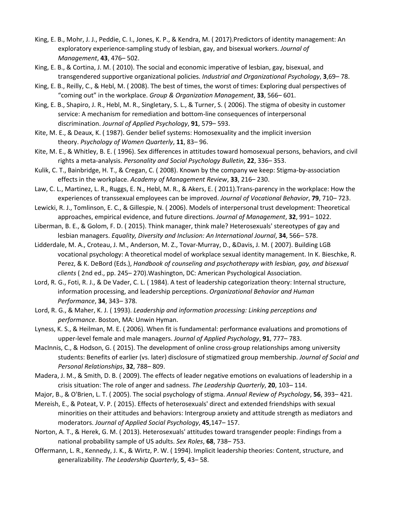- King, E. B., Mohr, J. J., Peddie, C. I., Jones, K. P., & Kendra, M. ( 2017).Predictors of identity management: An exploratory experience-sampling study of lesbian, gay, and bisexual workers. *Journal of Management*, **43**, 476– 502.
- King, E. B., & Cortina, J. M. ( 2010). The social and economic imperative of lesbian, gay, bisexual, and transgendered supportive organizational policies. *Industrial and Organizational Psychology*, **3**,69– 78.
- King, E. B., Reilly, C., & Hebl, M. ( 2008). The best of times, the worst of times: Exploring dual perspectives of "coming out" in the workplace. *Group & Organization Management*, **33**, 566– 601.
- King, E. B., Shapiro, J. R., Hebl, M. R., Singletary, S. L., & Turner, S. ( 2006). The stigma of obesity in customer service: A mechanism for remediation and bottom-line consequences of interpersonal discrimination. *Journal of Applied Psychology*, **91**, 579– 593.
- Kite, M. E., & Deaux, K. ( 1987). Gender belief systems: Homosexuality and the implicit inversion theory. *Psychology of Women Quarterly*, **11**, 83– 96.
- Kite, M. E., & Whitley, B. E. ( 1996). Sex differences in attitudes toward homosexual persons, behaviors, and civil rights a meta-analysis. *Personality and Social Psychology Bulletin*, **22**, 336– 353.
- Kulik, C. T., Bainbridge, H. T., & Cregan, C. ( 2008). Known by the company we keep: Stigma-by-association effects in the workplace. *Academy of Management Review*, **33**, 216– 230.
- Law, C. L., Martinez, L. R., Ruggs, E. N., Hebl, M. R., & Akers, E. ( 2011).Trans-parency in the workplace: How the experiences of transsexual employees can be improved. *Journal of Vocational Behavior*, **79**, 710– 723.
- Lewicki, R. J., Tomlinson, E. C., & Gillespie, N. ( 2006). Models of interpersonal trust development: Theoretical approaches, empirical evidence, and future directions. *Journal of Management*, **32**, 991– 1022.
- Liberman, B. E., & Golom, F. D. ( 2015). Think manager, think male? Heterosexuals' stereotypes of gay and lesbian managers. *Equality, Diversity and Inclusion: An International Journal*, **34**, 566– 578.
- Lidderdale, M. A., Croteau, J. M., Anderson, M. Z., Tovar-Murray, D., &Davis, J. M. ( 2007). Building LGB vocational psychology: A theoretical model of workplace sexual identity management. In K. Bieschke, R. Perez, & K. DeBord (Eds.), *Handbook of counseling and psychotherapy with lesbian, gay, and bisexual clients* ( 2nd ed., pp. 245– 270).Washington, DC: American Psychological Association.
- Lord, R. G., Foti, R. J., & De Vader, C. L. ( 1984). A test of leadership categorization theory: Internal structure, information processing, and leadership perceptions. *Organizational Behavior and Human Performance*, **34**, 343– 378.
- Lord, R. G., & Maher, K. J. ( 1993). *Leadership and information processing: Linking perceptions and performance*. Boston, MA: Unwin Hyman.
- Lyness, K. S., & Heilman, M. E. ( 2006). When fit is fundamental: performance evaluations and promotions of upper-level female and male managers. *Journal of Applied Psychology*, **91**, 777– 783.
- MacInnis, C., & Hodson, G. ( 2015). The development of online cross-group relationships among university students: Benefits of earlier (vs. later) disclosure of stigmatized group membership. *Journal of Social and Personal Relationships*, **32**, 788– 809.
- Madera, J. M., & Smith, D. B. ( 2009). The effects of leader negative emotions on evaluations of leadership in a crisis situation: The role of anger and sadness. *The Leadership Quarterly*, **20**, 103– 114.
- Major, B., & O'Brien, L. T. ( 2005). The social psychology of stigma. *Annual Review of Psychology*, **56**, 393– 421.
- Mereish, E., & Poteat, V. P. ( 2015). Effects of heterosexuals' direct and extended friendships with sexual minorities on their attitudes and behaviors: Intergroup anxiety and attitude strength as mediators and moderators. *Journal of Applied Social Psychology*, **45**,147– 157.
- Norton, A. T., & Herek, G. M. ( 2013). Heterosexuals' attitudes toward transgender people: Findings from a national probability sample of US adults. *Sex Roles*, **68**, 738– 753.
- Offermann, L. R., Kennedy, J. K., & Wirtz, P. W. ( 1994). Implicit leadership theories: Content, structure, and generalizability. *The Leadership Quarterly*, **5**, 43– 58.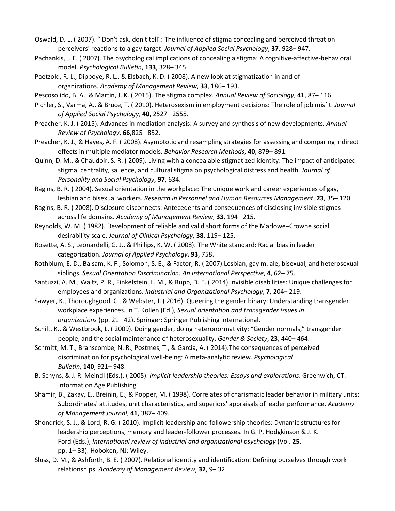Oswald, D. L. ( 2007). " Don't ask, don't tell": The influence of stigma concealing and perceived threat on perceivers' reactions to a gay target. *Journal of Applied Social Psychology*, **37**, 928– 947.

- Pachankis, J. E. ( 2007). The psychological implications of concealing a stigma: A cognitive-affective-behavioral model. *Psychological Bulletin*, **133**, 328– 345.
- Paetzold, R. L., Dipboye, R. L., & Elsbach, K. D. ( 2008). A new look at stigmatization in and of organizations. *Academy of Management Review*, **33**, 186– 193.

Pescosolido, B. A., & Martin, J. K. ( 2015). The stigma complex. *Annual Review of Sociology*, **41**, 87– 116.

- Pichler, S., Varma, A., & Bruce, T. ( 2010). Heterosexism in employment decisions: The role of job misfit. *Journal of Applied Social Psychology*, **40**, 2527– 2555.
- Preacher, K. J. ( 2015). Advances in mediation analysis: A survey and synthesis of new developments. *Annual Review of Psychology*, **66**,825– 852.
- Preacher, K. J., & Hayes, A. F. ( 2008). Asymptotic and resampling strategies for assessing and comparing indirect effects in multiple mediator models. *Behavior Research Methods*, **40**, 879– 891.
- Quinn, D. M., & Chaudoir, S. R. ( 2009). Living with a concealable stigmatized identity: The impact of anticipated stigma, centrality, salience, and cultural stigma on psychological distress and health. *Journal of Personality and Social Psychology*, **97**, 634.
- Ragins, B. R. ( 2004). Sexual orientation in the workplace: The unique work and career experiences of gay, lesbian and bisexual workers. *Research in Personnel and Human Resources Management*, **23**, 35– 120.
- Ragins, B. R. ( 2008). Disclosure disconnects: Antecedents and consequences of disclosing invisible stigmas across life domains. *Academy of Management Review*, **33**, 194– 215.
- Reynolds, W. M. ( 1982). Development of reliable and valid short forms of the Marlowe–Crowne social desirability scale. *Journal of Clinical Psychology*, **38**, 119– 125.
- Rosette, A. S., Leonardelli, G. J., & Phillips, K. W. ( 2008). The White standard: Racial bias in leader categorization. *Journal of Applied Psychology*, **93**, 758.
- Rothblum, E. D., Balsam, K. F., Solomon, S. E., & Factor, R. ( 2007).Lesbian, gay m. ale, bisexual, and heterosexual siblings. *Sexual Orientation Discrimination: An International Perspective*, **4**, 62– 75.
- Santuzzi, A. M., Waltz, P. R., Finkelstein, L. M., & Rupp, D. E. ( 2014).Invisible disabilities: Unique challenges for employees and organizations. *Industrial and Organizational Psychology*, **7**, 204– 219.
- Sawyer, K., Thoroughgood, C., & Webster, J. ( 2016). Queering the gender binary: Understanding transgender workplace experiences. In T. Kollen (Ed.), *Sexual orientation and transgender issues in organizations* (pp. 21– 42). Springer: Springer Publishing International.
- Schilt, K., & Westbrook, L. ( 2009). Doing gender, doing heteronormativity: "Gender normals," transgender people, and the social maintenance of heterosexuality. *Gender & Society*, **23**, 440– 464.
- Schmitt, M. T., Branscombe, N. R., Postmes, T., & Garcia, A. ( 2014).The consequences of perceived discrimination for psychological well-being: A meta-analytic review. *Psychological Bulletin*, **140**, 921– 948.
- B. Schyns, & J. R. Meindl (Eds.). ( 2005). *Implicit leadership theories: Essays and explorations*. Greenwich, CT: Information Age Publishing.
- Shamir, B., Zakay, E., Breinin, E., & Popper, M. ( 1998). Correlates of charismatic leader behavior in military units: Subordinates' attitudes, unit characteristics, and superiors' appraisals of leader performance. *Academy of Management Journal*, **41**, 387– 409.
- Shondrick, S. J., & Lord, R. G. ( 2010). Implicit leadership and followership theories: Dynamic structures for leadership perceptions, memory and leader-follower processes. In G. P. Hodgkinson & J. K. Ford (Eds.), *International review of industrial and organizational psychology* (Vol. **25**, pp. 1– 33). Hoboken, NJ: Wiley.
- Sluss, D. M., & Ashforth, B. E. ( 2007). Relational identity and identification: Defining ourselves through work relationships. *Academy of Management Review*, **32**, 9– 32.